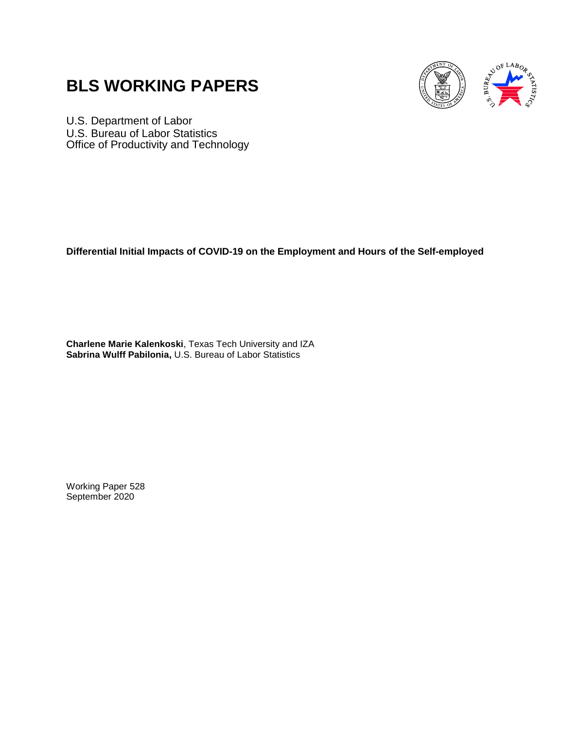# **BLS WORKING PAPERS**



U.S. Department of Labor U.S. Bureau of Labor Statistics Office of Productivity and Technology

**Differential Initial Impacts of COVID-19 on the Employment and Hours of the Self-employed**

**Charlene Marie Kalenkoski**, Texas Tech University and IZA **Sabrina Wulff Pabilonia,** U.S. Bureau of Labor Statistics

Working Paper 528 September 2020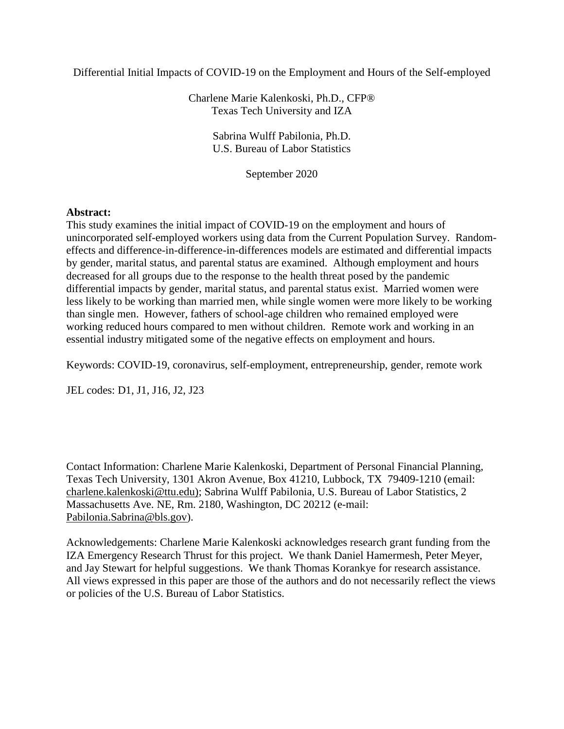Differential Initial Impacts of COVID-19 on the Employment and Hours of the Self-employed

Charlene Marie Kalenkoski, Ph.D., CFP® Texas Tech University and IZA

> Sabrina Wulff Pabilonia, Ph.D. U.S. Bureau of Labor Statistics

> > September 2020

## **Abstract:**

This study examines the initial impact of COVID-19 on the employment and hours of unincorporated self-employed workers using data from the Current Population Survey. Randomeffects and difference-in-difference-in-differences models are estimated and differential impacts by gender, marital status, and parental status are examined. Although employment and hours decreased for all groups due to the response to the health threat posed by the pandemic differential impacts by gender, marital status, and parental status exist. Married women were less likely to be working than married men, while single women were more likely to be working than single men. However, fathers of school-age children who remained employed were working reduced hours compared to men without children. Remote work and working in an essential industry mitigated some of the negative effects on employment and hours.

Keywords: COVID-19, coronavirus, self-employment, entrepreneurship, gender, remote work

JEL codes: D1, J1, J16, J2, J23

Contact Information: Charlene Marie Kalenkoski, Department of Personal Financial Planning, Texas Tech University, 1301 Akron Avenue, Box 41210, Lubbock, TX 79409-1210 (email: charlene.kalenkoski@ttu.edu); Sabrina Wulff Pabilonia, U.S. Bureau of Labor Statistics, 2 Massachusetts Ave. NE, Rm. 2180, Washington, DC 20212 (e-mail: [Pabilonia.Sabrina@bls.gov\)](mailto:Pabilonia.Sabrina@bls.gov).

Acknowledgements: Charlene Marie Kalenkoski acknowledges research grant funding from the IZA Emergency Research Thrust for this project. We thank Daniel Hamermesh, Peter Meyer, and Jay Stewart for helpful suggestions. We thank Thomas Korankye for research assistance. All views expressed in this paper are those of the authors and do not necessarily reflect the views or policies of the U.S. Bureau of Labor Statistics.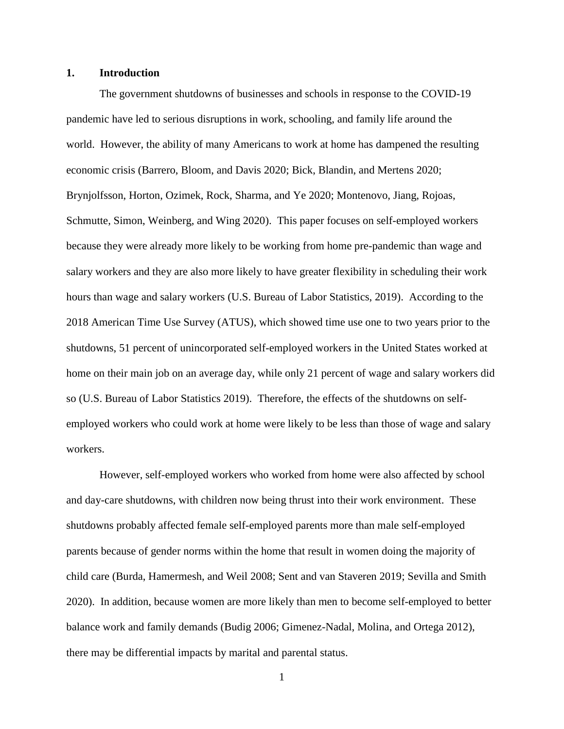## **1. Introduction**

The government shutdowns of businesses and schools in response to the COVID-19 pandemic have led to serious disruptions in work, schooling, and family life around the world. However, the ability of many Americans to work at home has dampened the resulting economic crisis (Barrero, Bloom, and Davis 2020; Bick, Blandin, and Mertens 2020; Brynjolfsson, Horton, Ozimek, Rock, Sharma, and Ye 2020; Montenovo, Jiang, Rojoas, Schmutte, Simon, Weinberg, and Wing 2020). This paper focuses on self-employed workers because they were already more likely to be working from home pre-pandemic than wage and salary workers and they are also more likely to have greater flexibility in scheduling their work hours than wage and salary workers (U.S. Bureau of Labor Statistics, 2019). According to the 2018 American Time Use Survey (ATUS), which showed time use one to two years prior to the shutdowns, 51 percent of unincorporated self-employed workers in the United States worked at home on their main job on an average day, while only 21 percent of wage and salary workers did so (U.S. Bureau of Labor Statistics 2019). Therefore, the effects of the shutdowns on selfemployed workers who could work at home were likely to be less than those of wage and salary workers.

However, self-employed workers who worked from home were also affected by school and day-care shutdowns, with children now being thrust into their work environment. These shutdowns probably affected female self-employed parents more than male self-employed parents because of gender norms within the home that result in women doing the majority of child care (Burda, Hamermesh, and Weil 2008; Sent and van Staveren 2019; Sevilla and Smith 2020). In addition, because women are more likely than men to become self-employed to better balance work and family demands (Budig 2006; Gimenez-Nadal, Molina, and Ortega 2012), there may be differential impacts by marital and parental status.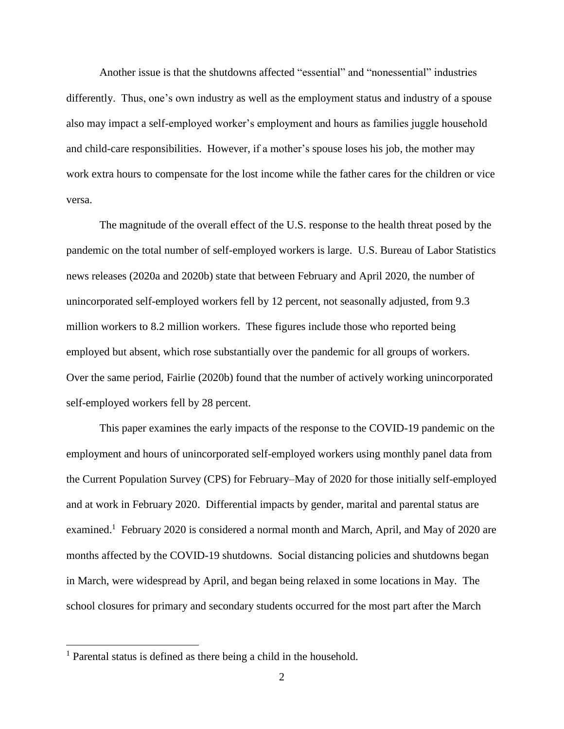Another issue is that the shutdowns affected "essential" and "nonessential" industries differently. Thus, one's own industry as well as the employment status and industry of a spouse also may impact a self-employed worker's employment and hours as families juggle household and child-care responsibilities. However, if a mother's spouse loses his job, the mother may work extra hours to compensate for the lost income while the father cares for the children or vice versa.

The magnitude of the overall effect of the U.S. response to the health threat posed by the pandemic on the total number of self-employed workers is large. U.S. Bureau of Labor Statistics news releases (2020a and 2020b) state that between February and April 2020, the number of unincorporated self-employed workers fell by 12 percent, not seasonally adjusted, from 9.3 million workers to 8.2 million workers. These figures include those who reported being employed but absent, which rose substantially over the pandemic for all groups of workers. Over the same period, Fairlie (2020b) found that the number of actively working unincorporated self-employed workers fell by 28 percent.

This paper examines the early impacts of the response to the COVID-19 pandemic on the employment and hours of unincorporated self-employed workers using monthly panel data from the Current Population Survey (CPS) for February–May of 2020 for those initially self-employed and at work in February 2020. Differential impacts by gender, marital and parental status are examined.<sup>1</sup> February 2020 is considered a normal month and March, April, and May of 2020 are months affected by the COVID-19 shutdowns. Social distancing policies and shutdowns began in March, were widespread by April, and began being relaxed in some locations in May. The school closures for primary and secondary students occurred for the most part after the March

 $\overline{\phantom{a}}$ 

<sup>1</sup> Parental status is defined as there being a child in the household.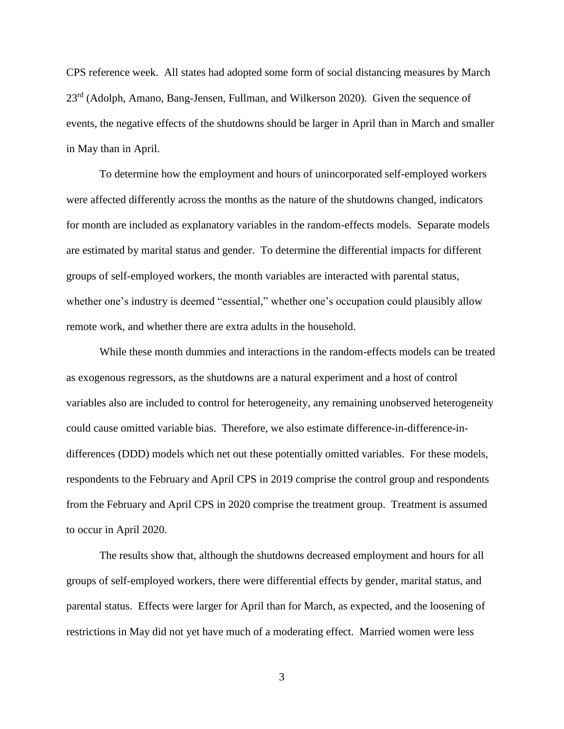CPS reference week. All states had adopted some form of social distancing measures by March 23<sup>rd</sup> (Adolph, Amano, Bang-Jensen, Fullman, and Wilkerson 2020). Given the sequence of events, the negative effects of the shutdowns should be larger in April than in March and smaller in May than in April.

To determine how the employment and hours of unincorporated self-employed workers were affected differently across the months as the nature of the shutdowns changed, indicators for month are included as explanatory variables in the random-effects models. Separate models are estimated by marital status and gender. To determine the differential impacts for different groups of self-employed workers, the month variables are interacted with parental status, whether one's industry is deemed "essential," whether one's occupation could plausibly allow remote work, and whether there are extra adults in the household.

While these month dummies and interactions in the random-effects models can be treated as exogenous regressors, as the shutdowns are a natural experiment and a host of control variables also are included to control for heterogeneity, any remaining unobserved heterogeneity could cause omitted variable bias. Therefore, we also estimate difference-in-difference-indifferences (DDD) models which net out these potentially omitted variables. For these models, respondents to the February and April CPS in 2019 comprise the control group and respondents from the February and April CPS in 2020 comprise the treatment group. Treatment is assumed to occur in April 2020.

The results show that, although the shutdowns decreased employment and hours for all groups of self-employed workers, there were differential effects by gender, marital status, and parental status. Effects were larger for April than for March, as expected, and the loosening of restrictions in May did not yet have much of a moderating effect. Married women were less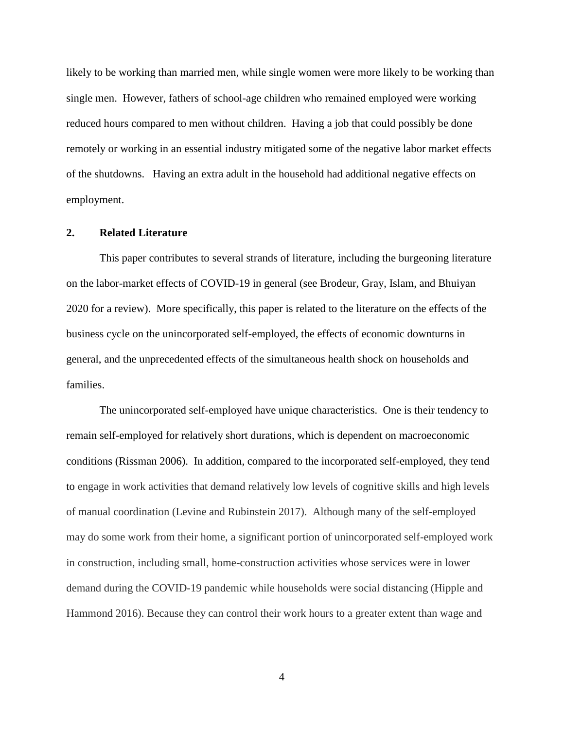likely to be working than married men, while single women were more likely to be working than single men. However, fathers of school-age children who remained employed were working reduced hours compared to men without children. Having a job that could possibly be done remotely or working in an essential industry mitigated some of the negative labor market effects of the shutdowns. Having an extra adult in the household had additional negative effects on employment.

#### **2. Related Literature**

This paper contributes to several strands of literature, including the burgeoning literature on the labor-market effects of COVID-19 in general (see Brodeur, Gray, Islam, and Bhuiyan 2020 for a review). More specifically, this paper is related to the literature on the effects of the business cycle on the unincorporated self-employed, the effects of economic downturns in general, and the unprecedented effects of the simultaneous health shock on households and families.

The unincorporated self-employed have unique characteristics. One is their tendency to remain self-employed for relatively short durations, which is dependent on macroeconomic conditions (Rissman 2006). In addition, compared to the incorporated self-employed, they tend to engage in work activities that demand relatively low levels of cognitive skills and high levels of manual coordination (Levine and Rubinstein 2017). Although many of the self-employed may do some work from their home, a significant portion of unincorporated self-employed work in construction, including small, home-construction activities whose services were in lower demand during the COVID-19 pandemic while households were social distancing (Hipple and Hammond 2016). Because they can control their work hours to a greater extent than wage and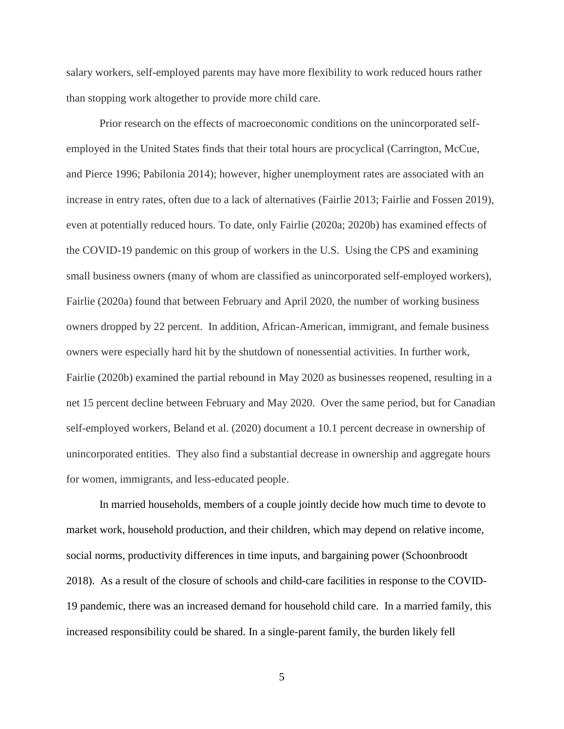salary workers, self-employed parents may have more flexibility to work reduced hours rather than stopping work altogether to provide more child care.

Prior research on the effects of macroeconomic conditions on the unincorporated selfemployed in the United States finds that their total hours are procyclical (Carrington, McCue, and Pierce 1996; Pabilonia 2014); however, higher unemployment rates are associated with an increase in entry rates, often due to a lack of alternatives (Fairlie 2013; Fairlie and Fossen 2019), even at potentially reduced hours. To date, only Fairlie (2020a; 2020b) has examined effects of the COVID-19 pandemic on this group of workers in the U.S. Using the CPS and examining small business owners (many of whom are classified as unincorporated self-employed workers), Fairlie (2020a) found that between February and April 2020, the number of working business owners dropped by 22 percent. In addition, African-American, immigrant, and female business owners were especially hard hit by the shutdown of nonessential activities. In further work, Fairlie (2020b) examined the partial rebound in May 2020 as businesses reopened, resulting in a net 15 percent decline between February and May 2020. Over the same period, but for Canadian self-employed workers, Beland et al. (2020) document a 10.1 percent decrease in ownership of unincorporated entities. They also find a substantial decrease in ownership and aggregate hours for women, immigrants, and less-educated people.

In married households, members of a couple jointly decide how much time to devote to market work, household production, and their children, which may depend on relative income, social norms, productivity differences in time inputs, and bargaining power (Schoonbroodt 2018). As a result of the closure of schools and child-care facilities in response to the COVID-19 pandemic, there was an increased demand for household child care. In a married family, this increased responsibility could be shared. In a single-parent family, the burden likely fell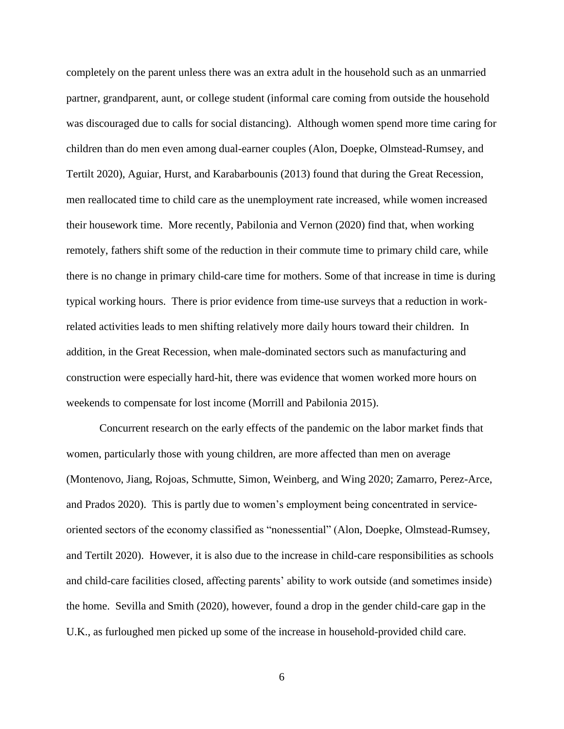completely on the parent unless there was an extra adult in the household such as an unmarried partner, grandparent, aunt, or college student (informal care coming from outside the household was discouraged due to calls for social distancing). Although women spend more time caring for children than do men even among dual-earner couples (Alon, Doepke, Olmstead-Rumsey, and Tertilt 2020), Aguiar, Hurst, and Karabarbounis (2013) found that during the Great Recession, men reallocated time to child care as the unemployment rate increased, while women increased their housework time. More recently, Pabilonia and Vernon (2020) find that, when working remotely, fathers shift some of the reduction in their commute time to primary child care, while there is no change in primary child-care time for mothers. Some of that increase in time is during typical working hours. There is prior evidence from time-use surveys that a reduction in workrelated activities leads to men shifting relatively more daily hours toward their children. In addition, in the Great Recession, when male-dominated sectors such as manufacturing and construction were especially hard-hit, there was evidence that women worked more hours on weekends to compensate for lost income (Morrill and Pabilonia 2015).

Concurrent research on the early effects of the pandemic on the labor market finds that women, particularly those with young children, are more affected than men on average (Montenovo, Jiang, Rojoas, Schmutte, Simon, Weinberg, and Wing 2020; Zamarro, Perez-Arce, and Prados 2020). This is partly due to women's employment being concentrated in serviceoriented sectors of the economy classified as "nonessential" (Alon, Doepke, Olmstead-Rumsey, and Tertilt 2020). However, it is also due to the increase in child-care responsibilities as schools and child-care facilities closed, affecting parents' ability to work outside (and sometimes inside) the home. Sevilla and Smith (2020), however, found a drop in the gender child-care gap in the U.K., as furloughed men picked up some of the increase in household-provided child care.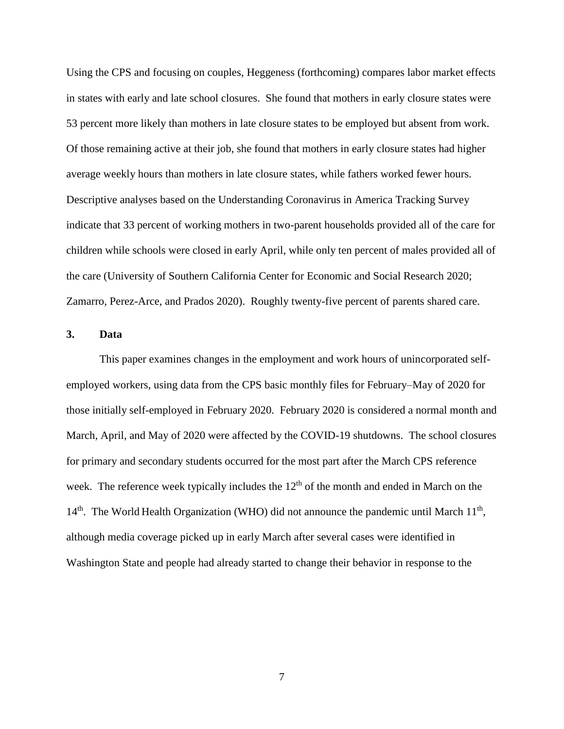Using the CPS and focusing on couples, Heggeness (forthcoming) compares labor market effects in states with early and late school closures. She found that mothers in early closure states were 53 percent more likely than mothers in late closure states to be employed but absent from work. Of those remaining active at their job, she found that mothers in early closure states had higher average weekly hours than mothers in late closure states, while fathers worked fewer hours. Descriptive analyses based on the Understanding Coronavirus in America Tracking Survey indicate that 33 percent of working mothers in two-parent households provided all of the care for children while schools were closed in early April, while only ten percent of males provided all of the care (University of Southern California Center for Economic and Social Research 2020; Zamarro, Perez-Arce, and Prados 2020). Roughly twenty-five percent of parents shared care.

## **3. Data**

This paper examines changes in the employment and work hours of unincorporated selfemployed workers, using data from the CPS basic monthly files for February–May of 2020 for those initially self-employed in February 2020. February 2020 is considered a normal month and March, April, and May of 2020 were affected by the COVID-19 shutdowns. The school closures for primary and secondary students occurred for the most part after the March CPS reference week. The reference week typically includes the  $12<sup>th</sup>$  of the month and ended in March on the 14<sup>th</sup>. The World Health Organization (WHO) did not announce the pandemic until March 11<sup>th</sup>, although media coverage picked up in early March after several cases were identified in Washington State and people had already started to change their behavior in response to the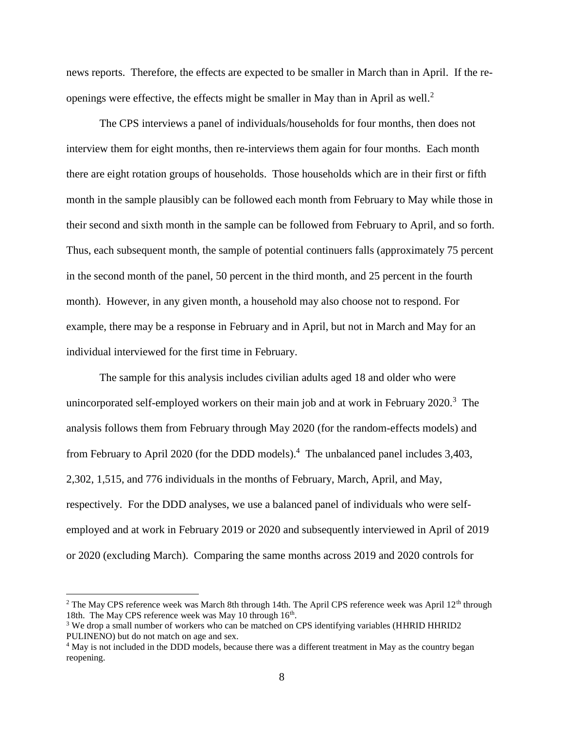news reports. Therefore, the effects are expected to be smaller in March than in April. If the reopenings were effective, the effects might be smaller in May than in April as well.<sup>2</sup>

The CPS interviews a panel of individuals/households for four months, then does not interview them for eight months, then re-interviews them again for four months. Each month there are eight rotation groups of households. Those households which are in their first or fifth month in the sample plausibly can be followed each month from February to May while those in their second and sixth month in the sample can be followed from February to April, and so forth. Thus, each subsequent month, the sample of potential continuers falls (approximately 75 percent in the second month of the panel, 50 percent in the third month, and 25 percent in the fourth month). However, in any given month, a household may also choose not to respond. For example, there may be a response in February and in April, but not in March and May for an individual interviewed for the first time in February.

The sample for this analysis includes civilian adults aged 18 and older who were unincorporated self-employed workers on their main job and at work in February 2020.<sup>3</sup> The analysis follows them from February through May 2020 (for the random-effects models) and from February to April 2020 (for the DDD models).<sup>4</sup> The unbalanced panel includes 3,403, 2,302, 1,515, and 776 individuals in the months of February, March, April, and May, respectively. For the DDD analyses, we use a balanced panel of individuals who were selfemployed and at work in February 2019 or 2020 and subsequently interviewed in April of 2019 or 2020 (excluding March). Comparing the same months across 2019 and 2020 controls for

l

<sup>&</sup>lt;sup>2</sup> The May CPS reference week was March 8th through 14th. The April CPS reference week was April  $12<sup>th</sup>$  through 18th. The May CPS reference week was May 10 through 16<sup>th</sup>.

<sup>&</sup>lt;sup>3</sup> We drop a small number of workers who can be matched on CPS identifying variables (HHRID HHRID2 PULINENO) but do not match on age and sex.

<sup>&</sup>lt;sup>4</sup> May is not included in the DDD models, because there was a different treatment in May as the country began reopening.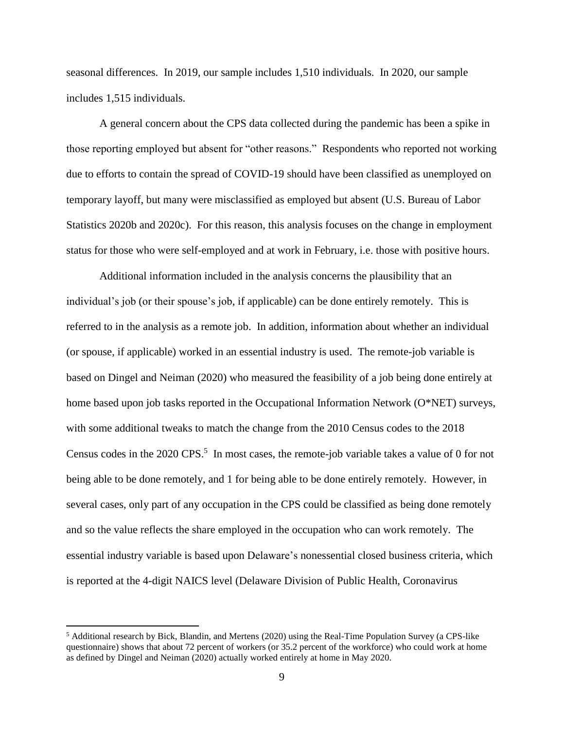seasonal differences. In 2019, our sample includes 1,510 individuals. In 2020, our sample includes 1,515 individuals.

A general concern about the CPS data collected during the pandemic has been a spike in those reporting employed but absent for "other reasons." Respondents who reported not working due to efforts to contain the spread of COVID-19 should have been classified as unemployed on temporary layoff, but many were misclassified as employed but absent (U.S. Bureau of Labor Statistics 2020b and 2020c). For this reason, this analysis focuses on the change in employment status for those who were self-employed and at work in February, i.e. those with positive hours.

Additional information included in the analysis concerns the plausibility that an individual's job (or their spouse's job, if applicable) can be done entirely remotely. This is referred to in the analysis as a remote job. In addition, information about whether an individual (or spouse, if applicable) worked in an essential industry is used. The remote-job variable is based on Dingel and Neiman (2020) who measured the feasibility of a job being done entirely at home based upon job tasks reported in the Occupational Information Network (O\*NET) surveys, with some additional tweaks to match the change from the 2010 Census codes to the 2018 Census codes in the  $2020$  CPS.<sup>5</sup> In most cases, the remote-job variable takes a value of 0 for not being able to be done remotely, and 1 for being able to be done entirely remotely. However, in several cases, only part of any occupation in the CPS could be classified as being done remotely and so the value reflects the share employed in the occupation who can work remotely. The essential industry variable is based upon Delaware's nonessential closed business criteria, which is reported at the 4-digit NAICS level (Delaware Division of Public Health, Coronavirus

 $\overline{\phantom{a}}$ 

<sup>5</sup> Additional research by Bick, Blandin, and Mertens (2020) using the Real-Time Population Survey (a CPS-like questionnaire) shows that about 72 percent of workers (or 35.2 percent of the workforce) who could work at home as defined by Dingel and Neiman (2020) actually worked entirely at home in May 2020.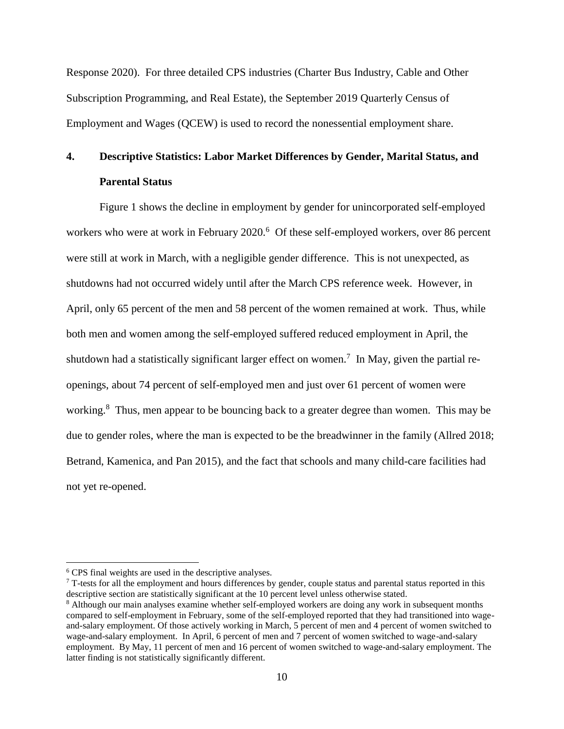Response 2020). For three detailed CPS industries (Charter Bus Industry, Cable and Other Subscription Programming, and Real Estate), the September 2019 Quarterly Census of Employment and Wages (QCEW) is used to record the nonessential employment share.

## **4. Descriptive Statistics: Labor Market Differences by Gender, Marital Status, and Parental Status**

Figure 1 shows the decline in employment by gender for unincorporated self-employed workers who were at work in February 2020.<sup>6</sup> Of these self-employed workers, over 86 percent were still at work in March, with a negligible gender difference. This is not unexpected, as shutdowns had not occurred widely until after the March CPS reference week. However, in April, only 65 percent of the men and 58 percent of the women remained at work. Thus, while both men and women among the self-employed suffered reduced employment in April, the shutdown had a statistically significant larger effect on women.<sup>7</sup> In May, given the partial reopenings, about 74 percent of self-employed men and just over 61 percent of women were working.<sup>8</sup> Thus, men appear to be bouncing back to a greater degree than women. This may be due to gender roles, where the man is expected to be the breadwinner in the family (Allred 2018; Betrand, Kamenica, and Pan 2015), and the fact that schools and many child-care facilities had not yet re-opened.

 $\overline{\phantom{a}}$ 

 $7$  T-tests for all the employment and hours differences by gender, couple status and parental status reported in this descriptive section are statistically significant at the 10 percent level unless otherwise stated.

<sup>6</sup> CPS final weights are used in the descriptive analyses.

<sup>8</sup> Although our main analyses examine whether self-employed workers are doing any work in subsequent months compared to self-employment in February, some of the self-employed reported that they had transitioned into wageand-salary employment. Of those actively working in March, 5 percent of men and 4 percent of women switched to wage-and-salary employment. In April, 6 percent of men and 7 percent of women switched to wage-and-salary employment. By May, 11 percent of men and 16 percent of women switched to wage-and-salary employment. The latter finding is not statistically significantly different.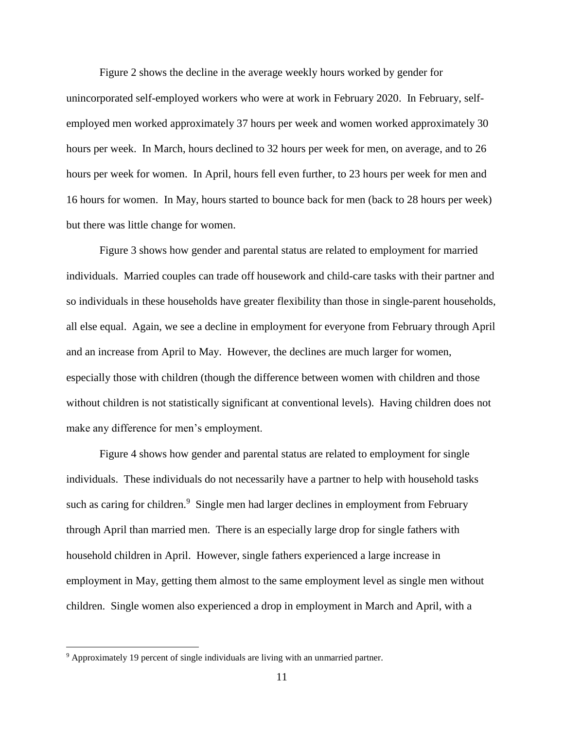Figure 2 shows the decline in the average weekly hours worked by gender for unincorporated self-employed workers who were at work in February 2020. In February, selfemployed men worked approximately 37 hours per week and women worked approximately 30 hours per week. In March, hours declined to 32 hours per week for men, on average, and to 26 hours per week for women. In April, hours fell even further, to 23 hours per week for men and 16 hours for women. In May, hours started to bounce back for men (back to 28 hours per week) but there was little change for women.

Figure 3 shows how gender and parental status are related to employment for married individuals. Married couples can trade off housework and child-care tasks with their partner and so individuals in these households have greater flexibility than those in single-parent households, all else equal. Again, we see a decline in employment for everyone from February through April and an increase from April to May. However, the declines are much larger for women, especially those with children (though the difference between women with children and those without children is not statistically significant at conventional levels). Having children does not make any difference for men's employment.

Figure 4 shows how gender and parental status are related to employment for single individuals. These individuals do not necessarily have a partner to help with household tasks such as caring for children.<sup>9</sup> Single men had larger declines in employment from February through April than married men. There is an especially large drop for single fathers with household children in April. However, single fathers experienced a large increase in employment in May, getting them almost to the same employment level as single men without children. Single women also experienced a drop in employment in March and April, with a

 $\overline{\phantom{a}}$ 

<sup>&</sup>lt;sup>9</sup> Approximately 19 percent of single individuals are living with an unmarried partner.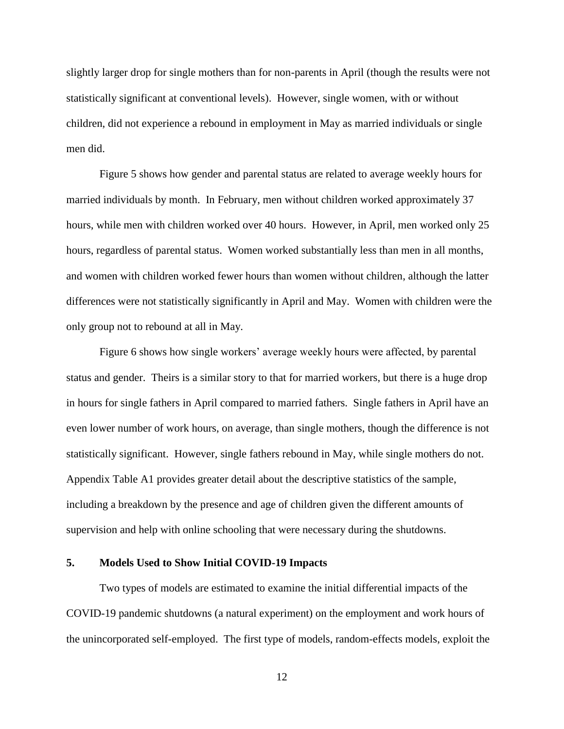slightly larger drop for single mothers than for non-parents in April (though the results were not statistically significant at conventional levels). However, single women, with or without children, did not experience a rebound in employment in May as married individuals or single men did.

Figure 5 shows how gender and parental status are related to average weekly hours for married individuals by month. In February, men without children worked approximately 37 hours, while men with children worked over 40 hours. However, in April, men worked only 25 hours, regardless of parental status. Women worked substantially less than men in all months, and women with children worked fewer hours than women without children, although the latter differences were not statistically significantly in April and May. Women with children were the only group not to rebound at all in May.

Figure 6 shows how single workers' average weekly hours were affected, by parental status and gender. Theirs is a similar story to that for married workers, but there is a huge drop in hours for single fathers in April compared to married fathers. Single fathers in April have an even lower number of work hours, on average, than single mothers, though the difference is not statistically significant. However, single fathers rebound in May, while single mothers do not. Appendix Table A1 provides greater detail about the descriptive statistics of the sample, including a breakdown by the presence and age of children given the different amounts of supervision and help with online schooling that were necessary during the shutdowns.

## **5. Models Used to Show Initial COVID-19 Impacts**

Two types of models are estimated to examine the initial differential impacts of the COVID-19 pandemic shutdowns (a natural experiment) on the employment and work hours of the unincorporated self-employed. The first type of models, random-effects models, exploit the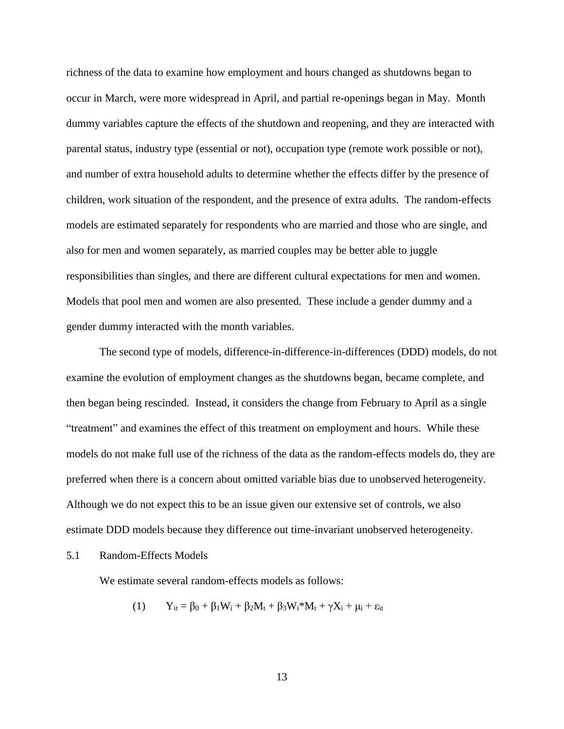richness of the data to examine how employment and hours changed as shutdowns began to occur in March, were more widespread in April, and partial re-openings began in May. Month dummy variables capture the effects of the shutdown and reopening, and they are interacted with parental status, industry type (essential or not), occupation type (remote work possible or not), and number of extra household adults to determine whether the effects differ by the presence of children, work situation of the respondent, and the presence of extra adults. The random-effects models are estimated separately for respondents who are married and those who are single, and also for men and women separately, as married couples may be better able to juggle responsibilities than singles, and there are different cultural expectations for men and women. Models that pool men and women are also presented. These include a gender dummy and a gender dummy interacted with the month variables.

The second type of models, difference-in-difference-in-differences (DDD) models, do not examine the evolution of employment changes as the shutdowns began, became complete, and then began being rescinded. Instead, it considers the change from February to April as a single "treatment" and examines the effect of this treatment on employment and hours. While these models do not make full use of the richness of the data as the random-effects models do, they are preferred when there is a concern about omitted variable bias due to unobserved heterogeneity. Although we do not expect this to be an issue given our extensive set of controls, we also estimate DDD models because they difference out time-invariant unobserved heterogeneity.

5.1 Random-Effects Models

We estimate several random-effects models as follows:

$$
(1) \tY_{it} = \beta_0 + \beta_1 W_i + \beta_2 M_t + \beta_3 W_i^* M_t + \gamma X_i + \mu_i + \epsilon_{it}
$$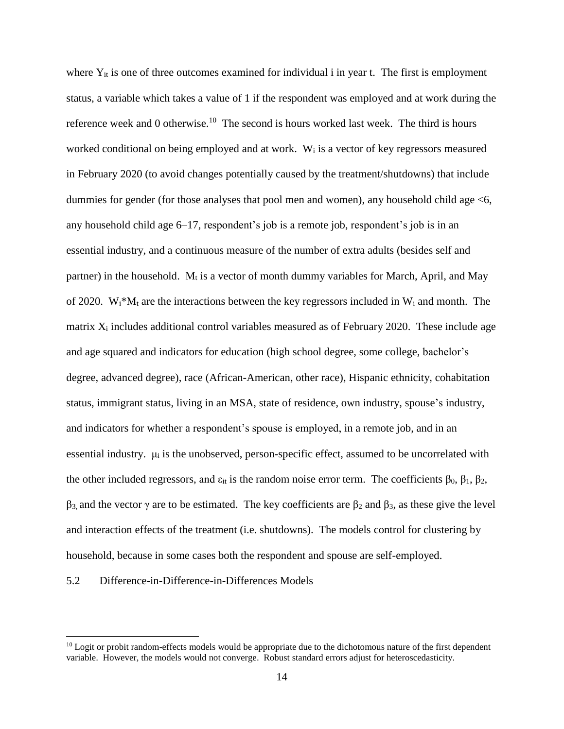where  $Y_{it}$  is one of three outcomes examined for individual i in year t. The first is employment status, a variable which takes a value of 1 if the respondent was employed and at work during the reference week and 0 otherwise.<sup>10</sup> The second is hours worked last week. The third is hours worked conditional on being employed and at work. W<sup>i</sup> is a vector of key regressors measured in February 2020 (to avoid changes potentially caused by the treatment/shutdowns) that include dummies for gender (for those analyses that pool men and women), any household child age <6, any household child age 6–17, respondent's job is a remote job, respondent's job is in an essential industry, and a continuous measure of the number of extra adults (besides self and partner) in the household.  $M_t$  is a vector of month dummy variables for March, April, and May of 2020. W<sub>i</sub>\*M<sub>t</sub> are the interactions between the key regressors included in W<sub>i</sub> and month. The matrix  $X_i$  includes additional control variables measured as of February 2020. These include age and age squared and indicators for education (high school degree, some college, bachelor's degree, advanced degree), race (African-American, other race), Hispanic ethnicity, cohabitation status, immigrant status, living in an MSA, state of residence, own industry, spouse's industry, and indicators for whether a respondent's spouse is employed, in a remote job, and in an essential industry.  $\mu_i$  is the unobserved, person-specific effect, assumed to be uncorrelated with the other included regressors, and  $ε_{it}$  is the random noise error term. The coefficients  $β_0$ ,  $β_1$ ,  $β_2$ ,  $β_3$  and the vector γ are to be estimated. The key coefficients are  $β_2$  and  $β_3$ , as these give the level and interaction effects of the treatment (i.e. shutdowns). The models control for clustering by household, because in some cases both the respondent and spouse are self-employed.

#### 5.2 Difference-in-Difference-in-Differences Models

 $\overline{\phantom{a}}$ 

 $10$  Logit or probit random-effects models would be appropriate due to the dichotomous nature of the first dependent variable. However, the models would not converge. Robust standard errors adjust for heteroscedasticity.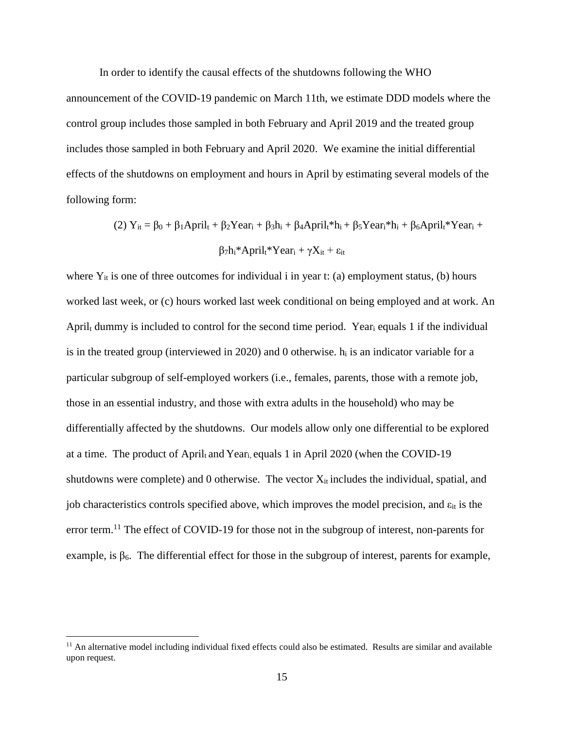In order to identify the causal effects of the shutdowns following the WHO

announcement of the COVID-19 pandemic on March 11th, we estimate DDD models where the control group includes those sampled in both February and April 2019 and the treated group includes those sampled in both February and April 2020. We examine the initial differential effects of the shutdowns on employment and hours in April by estimating several models of the following form:

(2) 
$$
Y_{it} = \beta_0 + \beta_1 A pril_t + \beta_2 Year_i + \beta_3 h_i + \beta_4 A pril_t * h_i + \beta_5 Year_i * h_i + \beta_6 A pril_t * Year_i +
$$
  
\n
$$
\beta_7 h_i * April_t * Year_i + \gamma X_{it} + \epsilon_{it}
$$

where  $Y_{it}$  is one of three outcomes for individual i in year t: (a) employment status, (b) hours worked last week, or (c) hours worked last week conditional on being employed and at work. An April<sup>t</sup> dummy is included to control for the second time period. Year<sup>i</sup> equals 1 if the individual is in the treated group (interviewed in 2020) and 0 otherwise.  $h_i$  is an indicator variable for a particular subgroup of self-employed workers (i.e., females, parents, those with a remote job, those in an essential industry, and those with extra adults in the household) who may be differentially affected by the shutdowns. Our models allow only one differential to be explored at a time. The product of April<sub>t</sub> and Year<sub>i, equals 1 in April 2020 (when the COVID-19</sub> shutdowns were complete) and  $0$  otherwise. The vector  $X_{it}$  includes the individual, spatial, and job characteristics controls specified above, which improves the model precision, and  $\varepsilon_{it}$  is the error term.<sup>11</sup> The effect of COVID-19 for those not in the subgroup of interest, non-parents for example, is  $\beta_6$ . The differential effect for those in the subgroup of interest, parents for example,

 $\overline{\phantom{a}}$ 

 $<sup>11</sup>$  An alternative model including individual fixed effects could also be estimated. Results are similar and available</sup> upon request.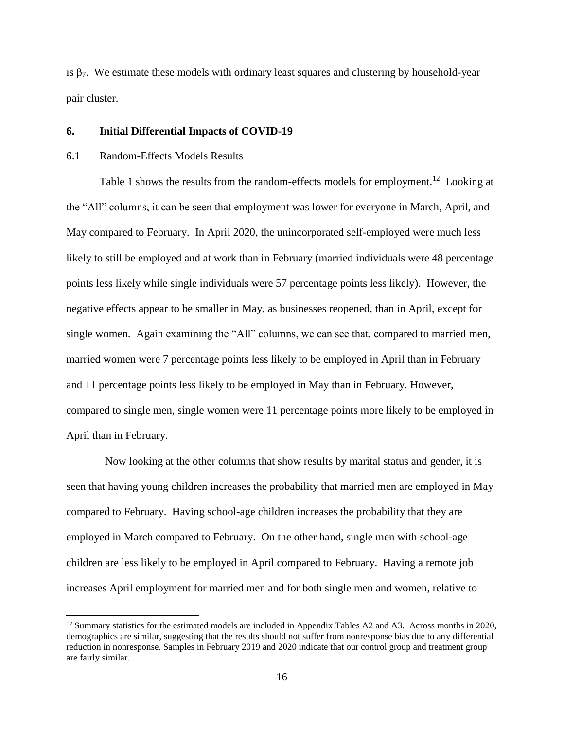is  $\beta$ . We estimate these models with ordinary least squares and clustering by household-year pair cluster.

#### **6. Initial Differential Impacts of COVID-19**

#### 6.1 Random-Effects Models Results

 $\overline{\phantom{a}}$ 

Table 1 shows the results from the random-effects models for employment.<sup>12</sup> Looking at the "All" columns, it can be seen that employment was lower for everyone in March, April, and May compared to February. In April 2020, the unincorporated self-employed were much less likely to still be employed and at work than in February (married individuals were 48 percentage points less likely while single individuals were 57 percentage points less likely). However, the negative effects appear to be smaller in May, as businesses reopened, than in April, except for single women. Again examining the "All" columns, we can see that, compared to married men, married women were 7 percentage points less likely to be employed in April than in February and 11 percentage points less likely to be employed in May than in February. However, compared to single men, single women were 11 percentage points more likely to be employed in April than in February.

 Now looking at the other columns that show results by marital status and gender, it is seen that having young children increases the probability that married men are employed in May compared to February. Having school-age children increases the probability that they are employed in March compared to February. On the other hand, single men with school-age children are less likely to be employed in April compared to February. Having a remote job increases April employment for married men and for both single men and women, relative to

 $12$  Summary statistics for the estimated models are included in Appendix Tables A2 and A3. Across months in 2020, demographics are similar, suggesting that the results should not suffer from nonresponse bias due to any differential reduction in nonresponse. Samples in February 2019 and 2020 indicate that our control group and treatment group are fairly similar.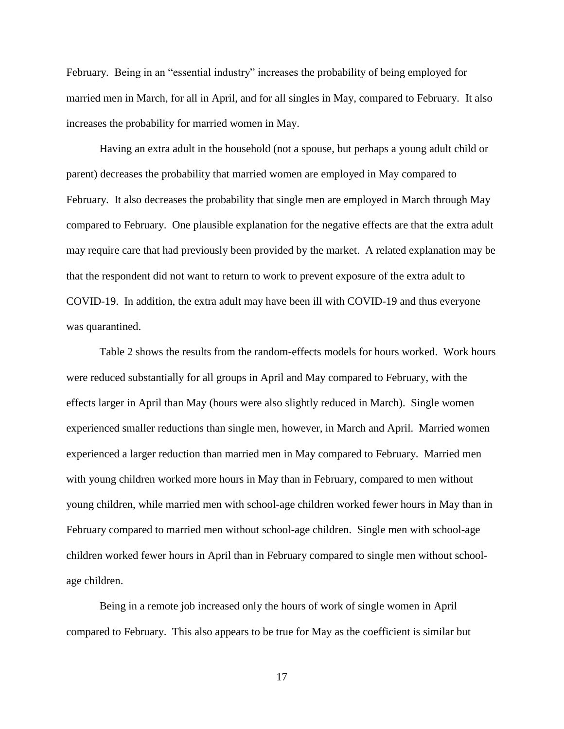February. Being in an "essential industry" increases the probability of being employed for married men in March, for all in April, and for all singles in May, compared to February. It also increases the probability for married women in May.

Having an extra adult in the household (not a spouse, but perhaps a young adult child or parent) decreases the probability that married women are employed in May compared to February. It also decreases the probability that single men are employed in March through May compared to February. One plausible explanation for the negative effects are that the extra adult may require care that had previously been provided by the market. A related explanation may be that the respondent did not want to return to work to prevent exposure of the extra adult to COVID-19. In addition, the extra adult may have been ill with COVID-19 and thus everyone was quarantined.

Table 2 shows the results from the random-effects models for hours worked. Work hours were reduced substantially for all groups in April and May compared to February, with the effects larger in April than May (hours were also slightly reduced in March). Single women experienced smaller reductions than single men, however, in March and April. Married women experienced a larger reduction than married men in May compared to February. Married men with young children worked more hours in May than in February, compared to men without young children, while married men with school-age children worked fewer hours in May than in February compared to married men without school-age children. Single men with school-age children worked fewer hours in April than in February compared to single men without schoolage children.

Being in a remote job increased only the hours of work of single women in April compared to February. This also appears to be true for May as the coefficient is similar but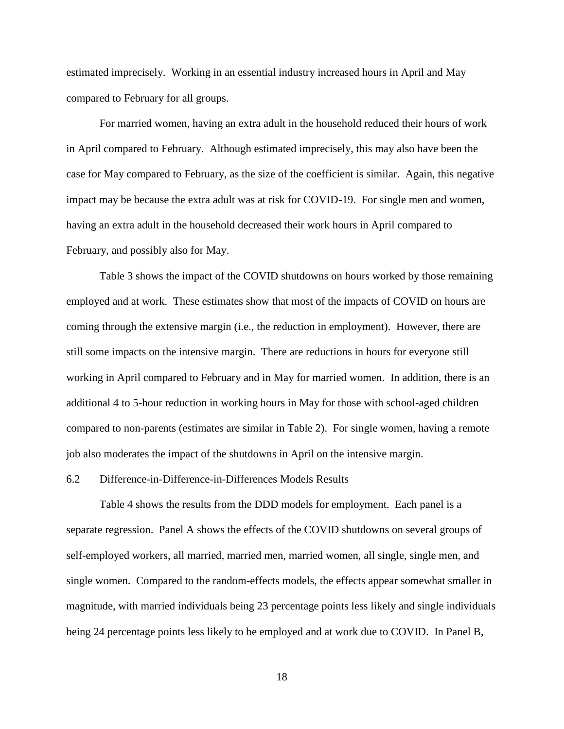estimated imprecisely. Working in an essential industry increased hours in April and May compared to February for all groups.

For married women, having an extra adult in the household reduced their hours of work in April compared to February. Although estimated imprecisely, this may also have been the case for May compared to February, as the size of the coefficient is similar. Again, this negative impact may be because the extra adult was at risk for COVID-19. For single men and women, having an extra adult in the household decreased their work hours in April compared to February, and possibly also for May.

Table 3 shows the impact of the COVID shutdowns on hours worked by those remaining employed and at work. These estimates show that most of the impacts of COVID on hours are coming through the extensive margin (i.e., the reduction in employment). However, there are still some impacts on the intensive margin. There are reductions in hours for everyone still working in April compared to February and in May for married women. In addition, there is an additional 4 to 5-hour reduction in working hours in May for those with school-aged children compared to non-parents (estimates are similar in Table 2). For single women, having a remote job also moderates the impact of the shutdowns in April on the intensive margin.

#### 6.2 Difference-in-Difference-in-Differences Models Results

Table 4 shows the results from the DDD models for employment. Each panel is a separate regression. Panel A shows the effects of the COVID shutdowns on several groups of self-employed workers, all married, married men, married women, all single, single men, and single women. Compared to the random-effects models, the effects appear somewhat smaller in magnitude, with married individuals being 23 percentage points less likely and single individuals being 24 percentage points less likely to be employed and at work due to COVID. In Panel B,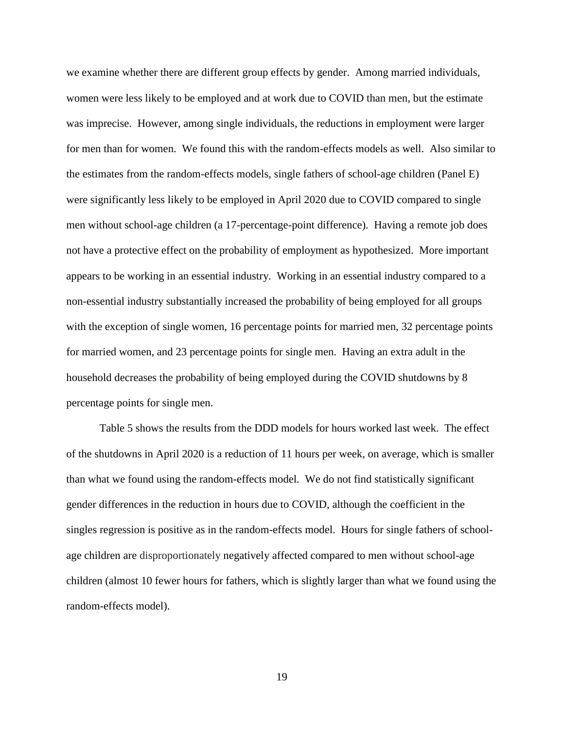we examine whether there are different group effects by gender. Among married individuals, women were less likely to be employed and at work due to COVID than men, but the estimate was imprecise. However, among single individuals, the reductions in employment were larger for men than for women. We found this with the random-effects models as well. Also similar to the estimates from the random-effects models, single fathers of school-age children (Panel E) were significantly less likely to be employed in April 2020 due to COVID compared to single men without school-age children (a 17-percentage-point difference). Having a remote job does not have a protective effect on the probability of employment as hypothesized. More important appears to be working in an essential industry. Working in an essential industry compared to a non-essential industry substantially increased the probability of being employed for all groups with the exception of single women, 16 percentage points for married men, 32 percentage points for married women, and 23 percentage points for single men. Having an extra adult in the household decreases the probability of being employed during the COVID shutdowns by 8 percentage points for single men.

Table 5 shows the results from the DDD models for hours worked last week. The effect of the shutdowns in April 2020 is a reduction of 11 hours per week, on average, which is smaller than what we found using the random-effects model. We do not find statistically significant gender differences in the reduction in hours due to COVID, although the coefficient in the singles regression is positive as in the random-effects model. Hours for single fathers of schoolage children are disproportionately negatively affected compared to men without school-age children (almost 10 fewer hours for fathers, which is slightly larger than what we found using the random-effects model).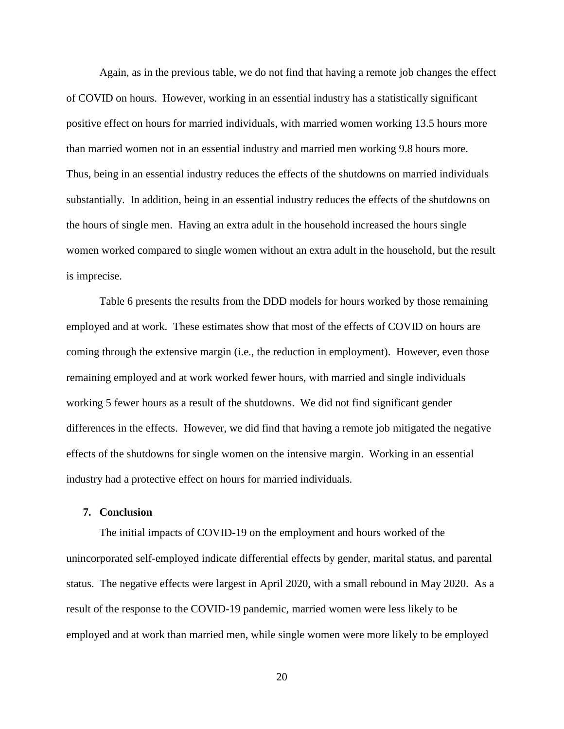Again, as in the previous table, we do not find that having a remote job changes the effect of COVID on hours. However, working in an essential industry has a statistically significant positive effect on hours for married individuals, with married women working 13.5 hours more than married women not in an essential industry and married men working 9.8 hours more. Thus, being in an essential industry reduces the effects of the shutdowns on married individuals substantially. In addition, being in an essential industry reduces the effects of the shutdowns on the hours of single men. Having an extra adult in the household increased the hours single women worked compared to single women without an extra adult in the household, but the result is imprecise.

Table 6 presents the results from the DDD models for hours worked by those remaining employed and at work. These estimates show that most of the effects of COVID on hours are coming through the extensive margin (i.e., the reduction in employment). However, even those remaining employed and at work worked fewer hours, with married and single individuals working 5 fewer hours as a result of the shutdowns. We did not find significant gender differences in the effects. However, we did find that having a remote job mitigated the negative effects of the shutdowns for single women on the intensive margin. Working in an essential industry had a protective effect on hours for married individuals.

#### **7. Conclusion**

The initial impacts of COVID-19 on the employment and hours worked of the unincorporated self-employed indicate differential effects by gender, marital status, and parental status. The negative effects were largest in April 2020, with a small rebound in May 2020. As a result of the response to the COVID-19 pandemic, married women were less likely to be employed and at work than married men, while single women were more likely to be employed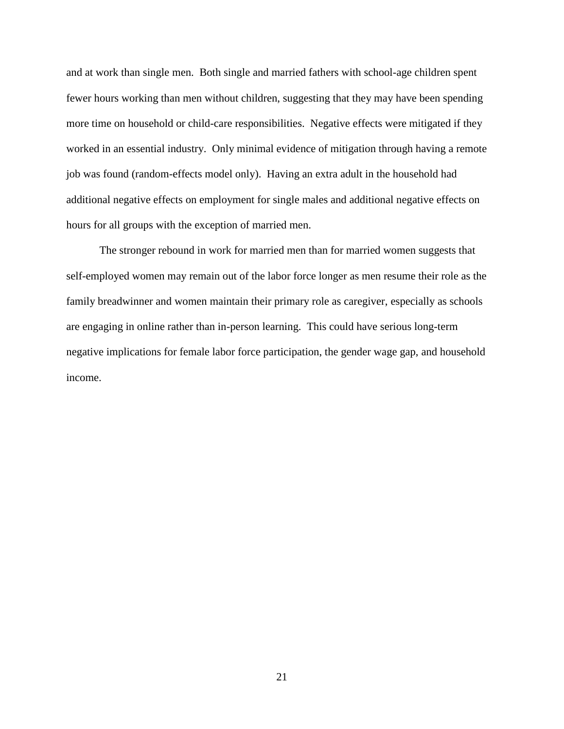and at work than single men. Both single and married fathers with school-age children spent fewer hours working than men without children, suggesting that they may have been spending more time on household or child-care responsibilities. Negative effects were mitigated if they worked in an essential industry. Only minimal evidence of mitigation through having a remote job was found (random-effects model only). Having an extra adult in the household had additional negative effects on employment for single males and additional negative effects on hours for all groups with the exception of married men.

The stronger rebound in work for married men than for married women suggests that self-employed women may remain out of the labor force longer as men resume their role as the family breadwinner and women maintain their primary role as caregiver, especially as schools are engaging in online rather than in-person learning. This could have serious long-term negative implications for female labor force participation, the gender wage gap, and household income.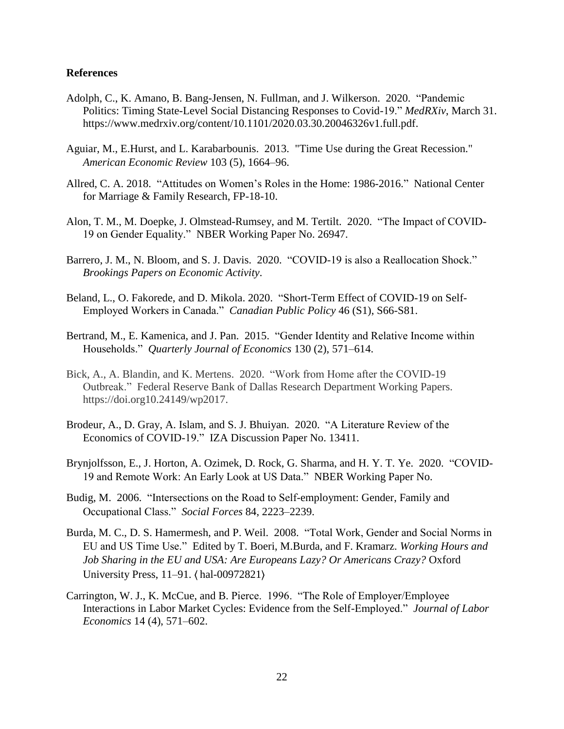#### **References**

- Adolph, C., K. Amano, B. Bang-Jensen, N. Fullman, and J. Wilkerson. 2020. "Pandemic Politics: Timing State-Level Social Distancing Responses to Covid-19." *MedRXiv*, March 31. https://www.medrxiv.org/content/10.1101/2020.03.30.20046326v1.full.pdf.
- Aguiar, M., E.Hurst, and L. Karabarbounis. 2013. "Time Use during the Great Recession." *American Economic Review* 103 (5), 1664–96.
- Allred, C. A. 2018. "Attitudes on Women's Roles in the Home: 1986-2016." National Center for Marriage & Family Research, FP-18-10.
- Alon, T. M., M. Doepke, J. Olmstead-Rumsey, and M. Tertilt. 2020. "The Impact of COVID-19 on Gender Equality." NBER Working Paper No. 26947.
- Barrero, J. M., N. Bloom, and S. J. Davis. 2020. "COVID-19 is also a Reallocation Shock." *Brookings Papers on Economic Activity*.
- Beland, L., O. Fakorede, and D. Mikola. 2020. "Short-Term Effect of COVID-19 on Self-Employed Workers in Canada." *Canadian Public Policy* 46 (S1), S66-S81.
- Bertrand, M., E. Kamenica, and J. Pan. 2015. "Gender Identity and Relative Income within Households." *Quarterly Journal of Economics* 130 (2), 571–614.
- Bick, A., A. Blandin, and K. Mertens. 2020. "Work from Home after the COVID-19 Outbreak." Federal Reserve Bank of Dallas Research Department Working Papers. https://doi.org10.24149/wp2017.
- Brodeur, A., D. Gray, A. Islam, and S. J. Bhuiyan. 2020. "A Literature Review of the Economics of COVID-19." IZA Discussion Paper No. 13411.
- Brynjolfsson, E., J. Horton, A. Ozimek, D. Rock, G. Sharma, and H. Y. T. Ye. 2020. "COVID-19 and Remote Work: An Early Look at US Data." NBER Working Paper No.
- Budig, M. 2006. "Intersections on the Road to Self-employment: Gender, Family and Occupational Class." *Social Forces* 84, 2223–2239.
- Burda, M. C., D. S. Hamermesh, and P. Weil. 2008. "Total Work, Gender and Social Norms in EU and US Time Use." Edited by T. Boeri, M.Burda, and F. Kramarz. *Working Hours and Job Sharing in the EU and USA: Are Europeans Lazy? Or Americans Crazy?* Oxford University Press, 11–91. ⟨ hal-00972821⟩
- Carrington, W. J., K. McCue, and B. Pierce. 1996. "The Role of Employer/Employee Interactions in Labor Market Cycles: Evidence from the Self-Employed." *Journal of Labor Economics* 14 (4), 571–602.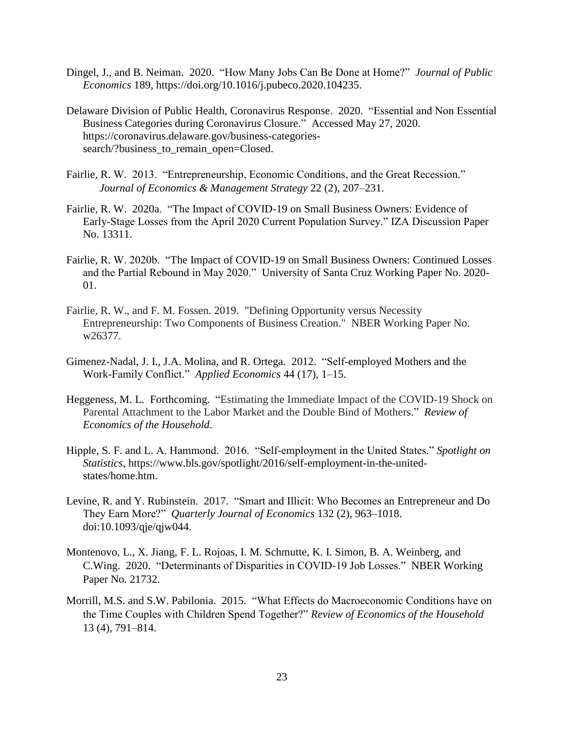- Dingel, J., and B. Neiman. 2020. "How Many Jobs Can Be Done at Home?" *Journal of Public Economics* 189, https://doi.org/10.1016/j.pubeco.2020.104235.
- Delaware Division of Public Health, Coronavirus Response. 2020. "Essential and Non Essential Business Categories during Coronavirus Closure." Accessed May 27, 2020. https://coronavirus.delaware.gov/business-categoriessearch/?business\_to\_remain\_open=Closed.
- Fairlie, R. W. 2013. "Entrepreneurship, Economic Conditions, and the Great Recession." *Journal of Economics & Management Strategy* 22 (2), 207–231.
- Fairlie, R. W. 2020a. "The Impact of COVID-19 on Small Business Owners: Evidence of Early-Stage Losses from the April 2020 Current Population Survey." IZA Discussion Paper No. 13311.
- Fairlie, R. W. 2020b. "The Impact of COVID-19 on Small Business Owners: Continued Losses and the Partial Rebound in May 2020." University of Santa Cruz Working Paper No. 2020- 01.
- Fairlie, R. W., and F. M. Fossen. 2019. "Defining Opportunity versus Necessity Entrepreneurship: Two Components of Business Creation." NBER Working Paper No. w26377.
- Gimenez-Nadal, J. I., J.A. Molina, and R. Ortega. 2012. "Self-employed Mothers and the Work-Family Conflict." *Applied Economics* 44 (17), 1–15.
- Heggeness, M. L. Forthcoming. "Estimating the Immediate Impact of the COVID-19 Shock on Parental Attachment to the Labor Market and the Double Bind of Mothers." *Review of Economics of the Household*.
- Hipple, S. F. and L. A. Hammond. 2016. "Self-employment in the United States." *Spotlight on Statistics*, https://www.bls.gov/spotlight/2016/self-employment-in-the-unitedstates/home.htm.
- Levine, R. and Y. Rubinstein. 2017. "Smart and Illicit: Who Becomes an Entrepreneur and Do They Earn More?" *Quarterly Journal of Economics* 132 (2), 963–1018. doi:10.1093/qje/qjw044.
- Montenovo, L., X. Jiang, F. L. Rojoas, I. M. Schmutte, K. I. Simon, B. A. Weinberg, and C.Wing. 2020. "Determinants of Disparities in COVID-19 Job Losses." NBER Working Paper No. 21732.
- Morrill, M.S. and S.W. Pabilonia. 2015. "What Effects do Macroeconomic Conditions have on the Time Couples with Children Spend Together?" *Review of Economics of the Household* 13 (4), 791–814.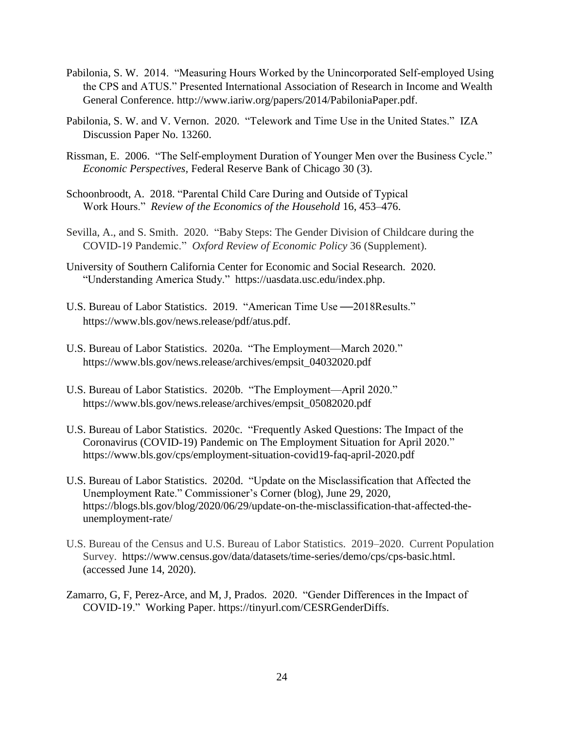- Pabilonia, S. W. 2014. "Measuring Hours Worked by the Unincorporated Self-employed Using the CPS and ATUS." Presented International Association of Research in Income and Wealth General Conference. http://www.iariw.org/papers/2014/PabiloniaPaper.pdf.
- Pabilonia, S. W. and V. Vernon. 2020. "Telework and Time Use in the United States." IZA Discussion Paper No. 13260.
- Rissman, E. 2006. "The Self-employment Duration of Younger Men over the Business Cycle." *Economic Perspectives,* Federal Reserve Bank of Chicago 30 (3).
- Schoonbroodt, A. 2018. "Parental Child Care During and Outside of Typical Work Hours." *Review of the Economics of the Household* 16, 453–476.
- Sevilla, A., and S. Smith. 2020. "Baby Steps: The Gender Division of Childcare during the COVID-19 Pandemic." *Oxford Review of Economic Policy* 36 (Supplement).
- University of Southern California Center for Economic and Social Research. 2020. "Understanding America Study." https://uasdata.usc.edu/index.php.
- U.S. Bureau of Labor Statistics. 2019. "American Time Use **—**2018Results." https://www.bls.gov/news.release/pdf/atus.pdf.
- U.S. Bureau of Labor Statistics. 2020a. "The Employment—March 2020." https://www.bls.gov/news.release/archives/empsit\_04032020.pdf
- U.S. Bureau of Labor Statistics. 2020b. "The Employment—April 2020." https://www.bls.gov/news.release/archives/empsit\_05082020.pdf
- U.S. Bureau of Labor Statistics. 2020c. "Frequently Asked Questions: The Impact of the Coronavirus (COVID-19) Pandemic on The Employment Situation for April 2020." https://www.bls.gov/cps/employment-situation-covid19-faq-april-2020.pdf
- U.S. Bureau of Labor Statistics. 2020d. "Update on the Misclassification that Affected the Unemployment Rate." Commissioner's Corner (blog), June 29, 2020, https://blogs.bls.gov/blog/2020/06/29/update-on-the-misclassification-that-affected-theunemployment-rate/
- U.S. Bureau of the Census and U.S. Bureau of Labor Statistics. 2019–2020. Current Population Survey. https://www.census.gov/data/datasets/time-series/demo/cps/cps-basic.html. (accessed June 14, 2020).
- Zamarro, G, F, Perez-Arce, and M, J, Prados. 2020. "Gender Differences in the Impact of COVID-19." Working Paper. https://tinyurl.com/CESRGenderDiffs.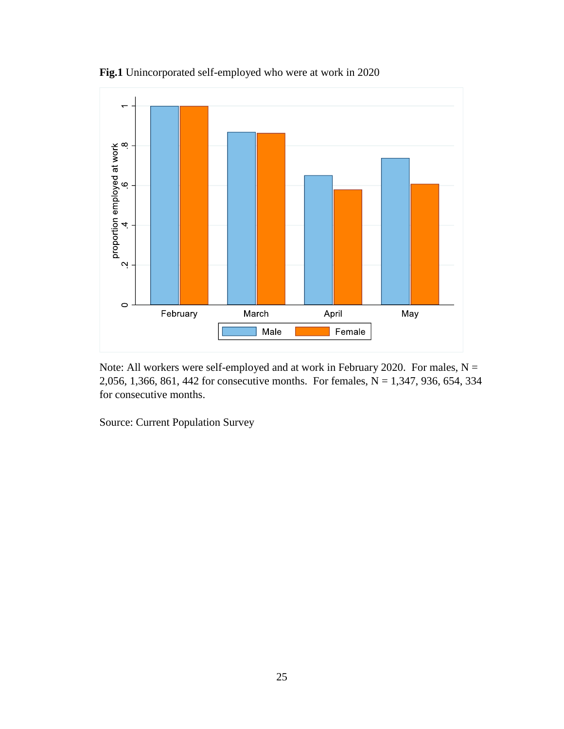

**Fig.1** Unincorporated self-employed who were at work in 2020

Note: All workers were self-employed and at work in February 2020. For males,  $N =$ 2,056, 1,366, 861, 442 for consecutive months. For females, N = 1,347, 936, 654, 334 for consecutive months.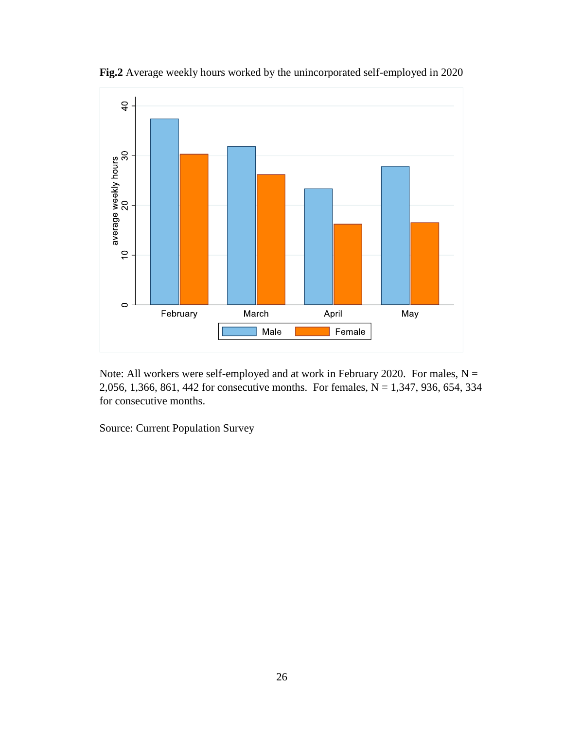

**Fig.2** Average weekly hours worked by the unincorporated self-employed in 2020

Note: All workers were self-employed and at work in February 2020. For males,  $N =$ 2,056, 1,366, 861, 442 for consecutive months. For females, N = 1,347, 936, 654, 334 for consecutive months.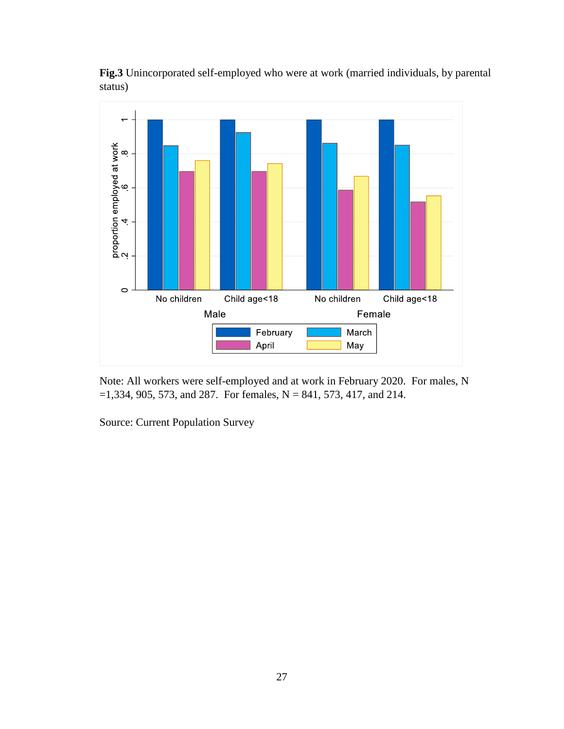



Note: All workers were self-employed and at work in February 2020. For males, N  $=1,334, 905, 573,$  and 287. For females, N = 841, 573, 417, and 214.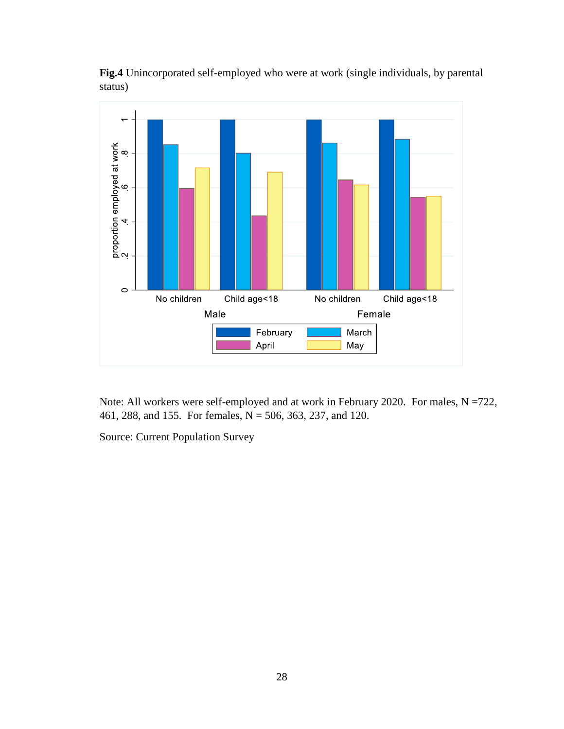

**Fig.4** Unincorporated self-employed who were at work (single individuals, by parental status)

Note: All workers were self-employed and at work in February 2020. For males, N =722, 461, 288, and 155. For females, N = 506, 363, 237, and 120.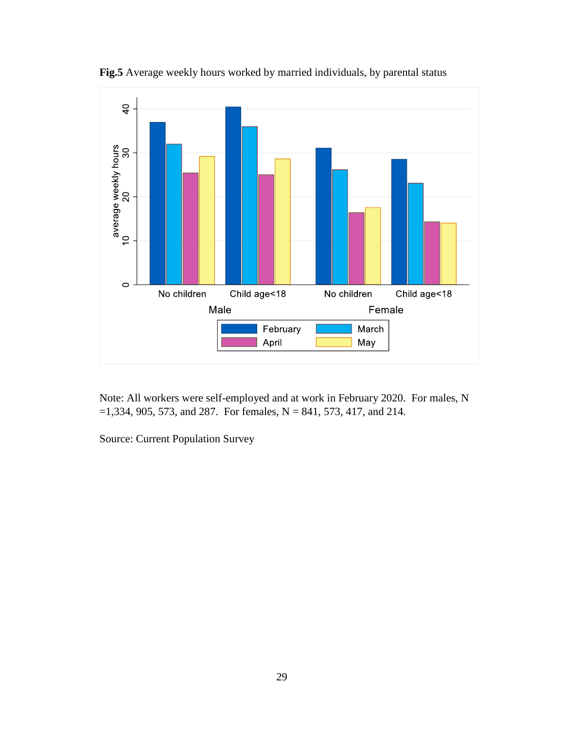

**Fig.5** Average weekly hours worked by married individuals, by parental status

Note: All workers were self-employed and at work in February 2020. For males, N  $=1,334, 905, 573,$  and 287. For females, N = 841, 573, 417, and 214.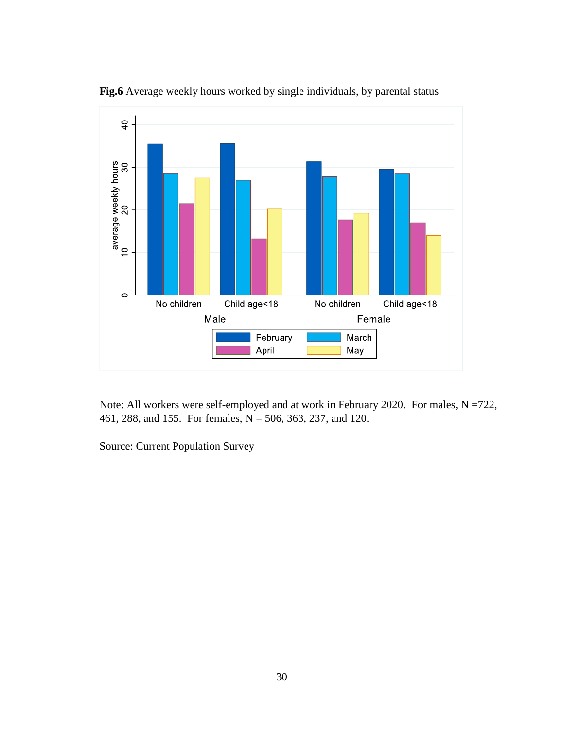

**Fig.6** Average weekly hours worked by single individuals, by parental status

Note: All workers were self-employed and at work in February 2020. For males, N =722, 461, 288, and 155. For females, N = 506, 363, 237, and 120.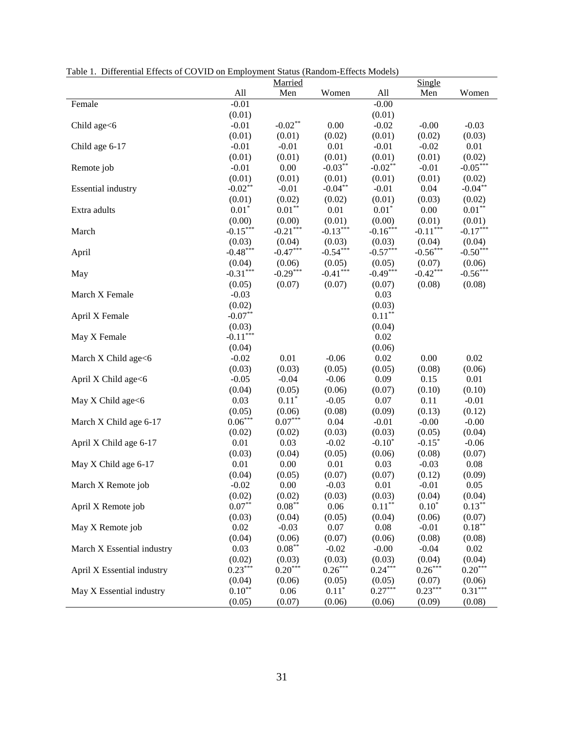|  |  |  | Table 1. Differential Effects of COVID on Employment Status (Random-Effects Models) |  |
|--|--|--|-------------------------------------------------------------------------------------|--|
|  |  |  |                                                                                     |  |

|                            |            | Married    |            |            | Single     |            |
|----------------------------|------------|------------|------------|------------|------------|------------|
|                            | All        | Men        | Women      | All        | Men        | Women      |
| Female                     | $-0.01$    |            |            | $-0.00$    |            |            |
|                            | (0.01)     |            |            | (0.01)     |            |            |
| Child age<6                | $-0.01$    | $-0.02**$  | 0.00       | $-0.02$    | $-0.00$    | $-0.03$    |
|                            | (0.01)     | (0.01)     | (0.02)     | (0.01)     | (0.02)     | (0.03)     |
| Child age 6-17             | $-0.01$    | $-0.01$    | 0.01       | $-0.01$    | $-0.02$    | 0.01       |
|                            | (0.01)     | (0.01)     | (0.01)     | (0.01)     | (0.01)     | (0.02)     |
| Remote job                 | $-0.01$    | 0.00       | $-0.03**$  | $-0.02***$ | $-0.01$    | $-0.05***$ |
|                            | (0.01)     | (0.01)     | (0.01)     | (0.01)     | (0.01)     | (0.02)     |
| <b>Essential industry</b>  | $-0.02**$  | $-0.01$    | $-0.04***$ | $-0.01$    | 0.04       | $-0.04**$  |
|                            | (0.01)     | (0.02)     | (0.02)     | (0.01)     | (0.03)     | (0.02)     |
| Extra adults               | $0.01*$    | $0.01***$  | 0.01       | $0.01*$    | 0.00       | $0.01**$   |
|                            | (0.00)     | (0.00)     | (0.01)     | (0.00)     | (0.01)     | (0.01)     |
| March                      | $-0.15***$ | $-0.21***$ | $-0.13***$ | $-0.16***$ | $-0.11***$ | $-0.17***$ |
|                            | (0.03)     | (0.04)     | (0.03)     | (0.03)     | (0.04)     | (0.04)     |
| April                      | $-0.48***$ | $-0.47***$ | $-0.54***$ | $-0.57***$ | $-0.56***$ | $-0.50***$ |
|                            | (0.04)     | (0.06)     | (0.05)     | (0.05)     | (0.07)     | (0.06)     |
| May                        | $-0.31***$ | $-0.29***$ | $-0.41***$ | $-0.49***$ | $-0.42***$ | $-0.56***$ |
|                            | (0.05)     | (0.07)     | (0.07)     | (0.07)     | (0.08)     | (0.08)     |
| March X Female             | $-0.03$    |            |            | 0.03       |            |            |
|                            | (0.02)     |            |            | (0.03)     |            |            |
| April X Female             | $-0.07**$  |            |            | $0.11***$  |            |            |
|                            | (0.03)     |            |            | (0.04)     |            |            |
| May X Female               | $-0.11***$ |            |            | 0.02       |            |            |
|                            | (0.04)     |            |            | (0.06)     |            |            |
| March X Child age<6        | $-0.02$    | 0.01       | $-0.06$    | 0.02       | 0.00       | 0.02       |
|                            | (0.03)     | (0.03)     | (0.05)     | (0.05)     | (0.08)     | (0.06)     |
| April X Child age<6        | $-0.05$    | $-0.04$    | $-0.06$    | 0.09       | 0.15       | 0.01       |
|                            | (0.04)     | (0.05)     | (0.06)     | (0.07)     | (0.10)     | (0.10)     |
| May X Child age<6          | 0.03       | $0.11*$    | $-0.05$    | 0.07       | 0.11       | $-0.01$    |
|                            | (0.05)     | (0.06)     | (0.08)     | (0.09)     | (0.13)     | (0.12)     |
| March X Child age 6-17     | $0.06***$  | $0.07***$  | 0.04       | $-0.01$    | $-0.00$    | $-0.00$    |
|                            | (0.02)     | (0.02)     | (0.03)     | (0.03)     | (0.05)     | (0.04)     |
| April X Child age 6-17     | 0.01       | 0.03       | $-0.02$    | $-0.10*$   | $-0.15*$   | $-0.06$    |
|                            | (0.03)     | (0.04)     | (0.05)     | (0.06)     | (0.08)     | (0.07)     |
| May X Child age 6-17       | 0.01       | 0.00       | 0.01       | 0.03       | $-0.03$    | 0.08       |
|                            | (0.04)     | (0.05)     | (0.07)     | (0.07)     | (0.12)     | (0.09)     |
| March X Remote job         | $-0.02$    | 0.00       | $-0.03$    | 0.01       | $-0.01$    | 0.05       |
|                            | (0.02)     | (0.02)     | (0.03)     | (0.03)     | (0.04)     | (0.04)     |
| April X Remote job         | $0.07**$   | $0.08***$  | 0.06       | $0.11***$  | $0.10*$    | $0.13***$  |
|                            | (0.03)     | (0.04)     | (0.05)     | (0.04)     | (0.06)     | (0.07)     |
| May X Remote job           | 0.02       | $-0.03$    | 0.07       | 0.08       | $-0.01$    | $0.18***$  |
|                            | (0.04)     | (0.06)     | (0.07)     | (0.06)     | (0.08)     | (0.08)     |
| March X Essential industry | 0.03       | $0.08***$  | $-0.02$    | $-0.00$    | $-0.04$    | 0.02       |
|                            | (0.02)     | (0.03)     | (0.03)     | (0.03)     | (0.04)     | (0.04)     |
| April X Essential industry | $0.23***$  | $0.20***$  | $0.26***$  | $0.24***$  | $0.26***$  | $0.20***$  |
|                            | (0.04)     | (0.06)     | (0.05)     | (0.05)     | (0.07)     | (0.06)     |
| May X Essential industry   | $0.10***$  | 0.06       | $0.11*$    | $0.27***$  | $0.23***$  | $0.31***$  |
|                            | (0.05)     | (0.07)     | (0.06)     | (0.06)     | (0.09)     | (0.08)     |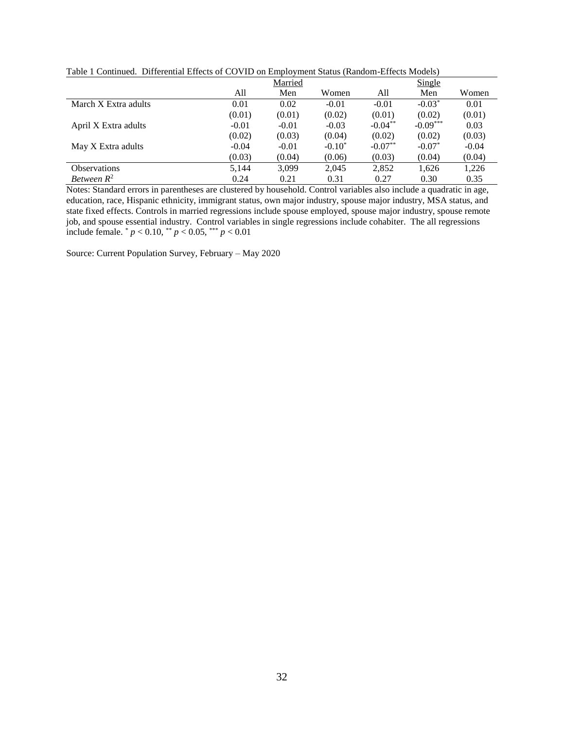| Table T Commaca. Differential Effects of COVID on Employment Blatas (Random Effects Models) |         |         |           |           |            |         |  |  |
|---------------------------------------------------------------------------------------------|---------|---------|-----------|-----------|------------|---------|--|--|
|                                                                                             |         | Married |           |           | Single     |         |  |  |
|                                                                                             | All     | Men     | Women     | All       | Men        | Women   |  |  |
| March X Extra adults                                                                        | 0.01    | 0.02    | $-0.01$   | $-0.01$   | $-0.03*$   | 0.01    |  |  |
|                                                                                             | (0.01)  | (0.01)  | (0.02)    | (0.01)    | (0.02)     | (0.01)  |  |  |
| April X Extra adults                                                                        | $-0.01$ | $-0.01$ | $-0.03$   | $-0.04**$ | $-0.09***$ | 0.03    |  |  |
|                                                                                             | (0.02)  | (0.03)  | (0.04)    | (0.02)    | (0.02)     | (0.03)  |  |  |
| May X Extra adults                                                                          | $-0.04$ | $-0.01$ | $-0.10^*$ | $-0.07**$ | $-0.07*$   | $-0.04$ |  |  |
|                                                                                             | (0.03)  | (0.04)  | (0.06)    | (0.03)    | (0.04)     | (0.04)  |  |  |
| <b>Observations</b>                                                                         | 5,144   | 3.099   | 2.045     | 2,852     | 1,626      | 1,226   |  |  |
| Between $R^2$                                                                               | 0.24    | 0.21    | 0.31      | 0.27      | 0.30       | 0.35    |  |  |

Table 1 Continued. Differential Effects of COVID on Employment Status (Random-Effects Models)

Notes: Standard errors in parentheses are clustered by household. Control variables also include a quadratic in age, education, race, Hispanic ethnicity, immigrant status, own major industry, spouse major industry, MSA status, and state fixed effects. Controls in married regressions include spouse employed, spouse major industry, spouse remote job, and spouse essential industry. Control variables in single regressions include cohabiter. The all regressions include female. \* *p* < 0.10, \*\* *p* < 0.05, \*\*\* *p* < 0.01

Source: Current Population Survey, February – May 2020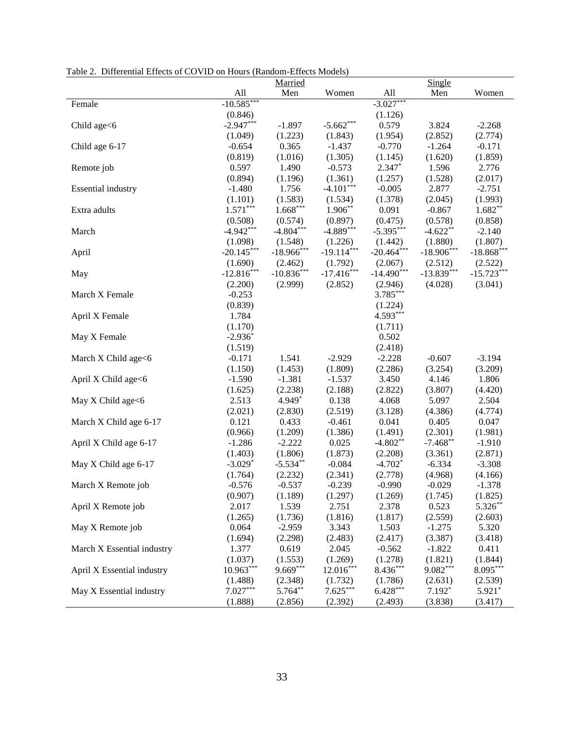| radic 2. Directing Effects of CO vid on Hours (Kangoli-Effects Moders) |              | Married      |              |              | Single       |              |
|------------------------------------------------------------------------|--------------|--------------|--------------|--------------|--------------|--------------|
|                                                                        | All          | Men          | Women        | All          | Men          | Women        |
| Female                                                                 | $-10.585***$ |              |              | $-3.027***$  |              |              |
|                                                                        | (0.846)      |              |              | (1.126)      |              |              |
| Child age<6                                                            | $-2.947***$  | $-1.897$     | $-5.662***$  | 0.579        | 3.824        | $-2.268$     |
|                                                                        | (1.049)      | (1.223)      | (1.843)      | (1.954)      | (2.852)      | (2.774)      |
| Child age 6-17                                                         | $-0.654$     | 0.365        | $-1.437$     | $-0.770$     | $-1.264$     | $-0.171$     |
|                                                                        | (0.819)      | (1.016)      | (1.305)      | (1.145)      | (1.620)      | (1.859)      |
| Remote job                                                             | 0.597        | 1.490        | $-0.573$     | $2.347*$     | 1.596        | 2.776        |
|                                                                        | (0.894)      | (1.196)      | (1.361)      | (1.257)      | (1.528)      | (2.017)      |
| <b>Essential industry</b>                                              | $-1.480$     | 1.756        | $-4.101***$  | $-0.005$     | 2.877        | $-2.751$     |
|                                                                        | (1.101)      | (1.583)      | (1.534)      | (1.378)      | (2.045)      | (1.993)      |
| Extra adults                                                           | $1.571***$   | $1.668***$   | $1.906**$    | 0.091        | $-0.867$     | $1.682**$    |
|                                                                        | (0.508)      | (0.574)      | (0.897)      | (0.475)      | (0.578)      | (0.858)      |
| March                                                                  | $-4.942***$  | $-4.804***$  | $-4.889***$  | $-5.395***$  | $-4.622**$   | $-2.140$     |
|                                                                        | (1.098)      | (1.548)      | (1.226)      | (1.442)      | (1.880)      | (1.807)      |
| April                                                                  | $-20.145***$ | $-18.966***$ | $-19.114***$ | $-20.464***$ | $-18.906***$ | $-18.868***$ |
|                                                                        | (1.690)      | (2.462)      | (1.792)      | (2.067)      | (2.512)      | (2.522)      |
| May                                                                    | $-12.816***$ | $-10.836***$ | $-17.416***$ | $-14.490***$ | $-13.839***$ | $-15.723***$ |
|                                                                        | (2.200)      | (2.999)      | (2.852)      | (2.946)      | (4.028)      | (3.041)      |
| March X Female                                                         | $-0.253$     |              |              | 3.785***     |              |              |
|                                                                        | (0.839)      |              |              | (1.224)      |              |              |
| April X Female                                                         | 1.784        |              |              | 4.593***     |              |              |
|                                                                        | (1.170)      |              |              | (1.711)      |              |              |
| May X Female                                                           | $-2.936*$    |              |              | 0.502        |              |              |
|                                                                        | (1.519)      |              |              | (2.418)      |              |              |
| March X Child age<6                                                    | $-0.171$     | 1.541        | $-2.929$     | $-2.228$     | $-0.607$     | $-3.194$     |
|                                                                        | (1.150)      | (1.453)      | (1.809)      | (2.286)      | (3.254)      | (3.209)      |
| April X Child age<6                                                    | $-1.590$     | $-1.381$     | $-1.537$     | 3.450        | 4.146        | 1.806        |
|                                                                        | (1.625)      | (2.238)      | (2.188)      | (2.822)      | (3.807)      | (4.420)      |
| May X Child age<6                                                      | 2.513        | 4.949*       | 0.138        | 4.068        | 5.097        | 2.504        |
|                                                                        | (2.021)      | (2.830)      | (2.519)      | (3.128)      | (4.386)      | (4.774)      |
| March X Child age 6-17                                                 | 0.121        | 0.433        | $-0.461$     | 0.041        | 0.405        | 0.047        |
|                                                                        | (0.966)      | (1.209)      | (1.386)      | (1.491)      | (2.301)      | (1.981)      |
| April X Child age 6-17                                                 | $-1.286$     | $-2.222$     | 0.025        | $-4.802**$   | $-7.468**$   | $-1.910$     |
|                                                                        | (1.403)      | (1.806)      | (1.873)      | (2.208)      | (3.361)      | (2.871)      |
| May X Child age 6-17                                                   | $-3.029*$    | $-5.534**$   | $-0.084$     | $-4.702*$    | $-6.334$     | $-3.308$     |
|                                                                        | (1.764)      | (2.232)      | (2.341)      | (2.778)      | (4.968)      | (4.166)      |
| March X Remote job                                                     | $-0.576$     | $-0.537$     | $-0.239$     | $-0.990$     | $-0.029$     | $-1.378$     |
|                                                                        | (0.907)      | (1.189)      | (1.297)      | (1.269)      | (1.745)      | (1.825)      |
| April X Remote job                                                     | 2.017        | 1.539        | 2.751        | 2.378        | 0.523        | 5.326**      |
|                                                                        | (1.265)      | (1.736)      | (1.816)      | (1.817)      | (2.559)      | (2.603)      |
| May X Remote job                                                       | 0.064        | $-2.959$     | 3.343        | 1.503        | $-1.275$     | 5.320        |
|                                                                        | (1.694)      | (2.298)      | (2.483)      | (2.417)      | (3.387)      | (3.418)      |
| March X Essential industry                                             | 1.377        | 0.619        | 2.045        | $-0.562$     | $-1.822$     | 0.411        |
|                                                                        | (1.037)      | (1.553)      | (1.269)      | (1.278)      | (1.821)      | (1.844)      |
| April X Essential industry                                             | $10.963***$  | $9.669***$   | $12.016***$  | 8.436***     | $9.082***$   | $8.095***$   |
|                                                                        | (1.488)      | (2.348)      | (1.732)      | (1.786)      | (2.631)      | (2.539)      |
| May X Essential industry                                               | $7.027***$   | 5.764**      | $7.625***$   | $6.428***$   | $7.192*$     | $5.921*$     |
|                                                                        | (1.888)      | (2.856)      | (2.392)      | (2.493)      | (3.838)      | (3.417)      |

Table 2. Differential Effects of COVID on Hours (Random-Effects Models)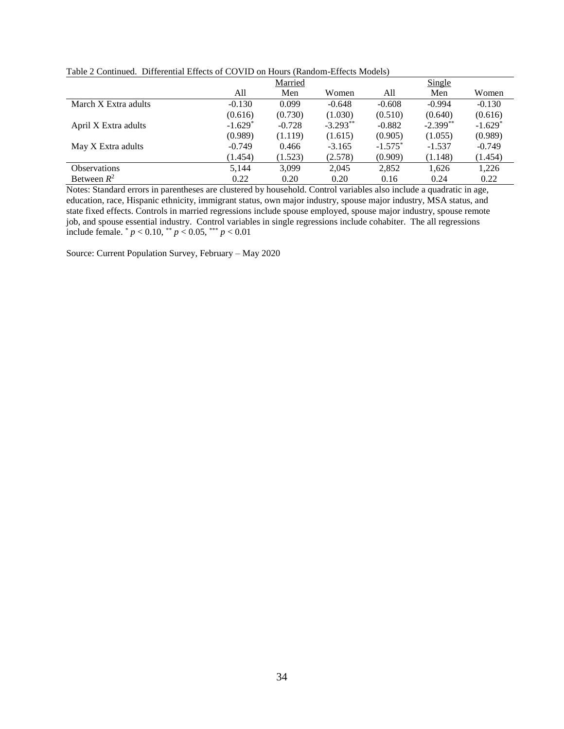|  | Table 2 Continued. Differential Effects of COVID on Hours (Random-Effects Models) |
|--|-----------------------------------------------------------------------------------|
|  |                                                                                   |

|                      | Married   |          |            | Single     |            |           |
|----------------------|-----------|----------|------------|------------|------------|-----------|
|                      | All       | Men      | Women      | All        | Men        | Women     |
| March X Extra adults | $-0.130$  | 0.099    | $-0.648$   | $-0.608$   | $-0.994$   | $-0.130$  |
|                      | (0.616)   | (0.730)  | (1.030)    | (0.510)    | (0.640)    | (0.616)   |
| April X Extra adults | $-1.629*$ | $-0.728$ | $-3.293**$ | $-0.882$   | $-2.399**$ | $-1.629*$ |
|                      | (0.989)   | (1.119)  | (1.615)    | (0.905)    | (1.055)    | (0.989)   |
| May X Extra adults   | $-0.749$  | 0.466    | $-3.165$   | $-1.575^*$ | $-1.537$   | $-0.749$  |
|                      | (1.454)   | (1.523)  | (2.578)    | (0.909)    | (1.148)    | (1.454)   |
| <b>Observations</b>  | 5,144     | 3.099    | 2,045      | 2,852      | 1,626      | 1,226     |
| Between $R^2$        | 0.22      | 0.20     | 0.20       | 0.16       | 0.24       | 0.22      |

Notes: Standard errors in parentheses are clustered by household. Control variables also include a quadratic in age, education, race, Hispanic ethnicity, immigrant status, own major industry, spouse major industry, MSA status, and state fixed effects. Controls in married regressions include spouse employed, spouse major industry, spouse remote job, and spouse essential industry. Control variables in single regressions include cohabiter. The all regressions include female. \* *p* < 0.10, \*\* *p* < 0.05, \*\*\* *p* < 0.01

Source: Current Population Survey, February – May 2020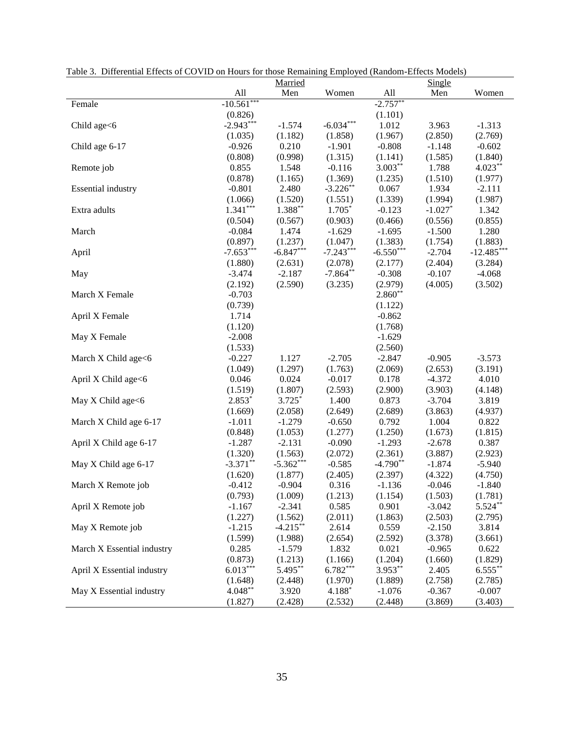|                            |              | Married     |             |             | Single    |              |
|----------------------------|--------------|-------------|-------------|-------------|-----------|--------------|
|                            | All          | Men         | Women       | All         | Men       | Women        |
| Female                     | $-10.561***$ |             |             | $-2.757**$  |           |              |
|                            | (0.826)      |             |             | (1.101)     |           |              |
| Child age<6                | $-2.943***$  | $-1.574$    | $-6.034***$ | 1.012       | 3.963     | $-1.313$     |
|                            | (1.035)      | (1.182)     | (1.858)     | (1.967)     | (2.850)   | (2.769)      |
| Child age 6-17             | $-0.926$     | 0.210       | $-1.901$    | $-0.808$    | $-1.148$  | $-0.602$     |
|                            | (0.808)      | (0.998)     | (1.315)     | (1.141)     | (1.585)   | (1.840)      |
| Remote job                 | 0.855        | 1.548       | $-0.116$    | $3.003***$  | 1.788     | $4.023***$   |
|                            | (0.878)      | (1.165)     | (1.369)     | (1.235)     | (1.510)   | (1.977)      |
| <b>Essential</b> industry  | $-0.801$     | 2.480       | $-3.226$ ** | 0.067       | 1.934     | $-2.111$     |
|                            | (1.066)      | (1.520)     | (1.551)     | (1.339)     | (1.994)   | (1.987)      |
| Extra adults               | $1.341***$   | 1.388**     | 1.705*      | $-0.123$    | $-1.027*$ | 1.342        |
|                            | (0.504)      | (0.567)     | (0.903)     | (0.466)     | (0.556)   | (0.855)      |
| March                      | $-0.084$     | 1.474       | $-1.629$    | $-1.695$    | $-1.500$  | 1.280        |
|                            | (0.897)      | (1.237)     | (1.047)     | (1.383)     | (1.754)   | (1.883)      |
| April                      | $-7.653***$  | $-6.847***$ | $-7.243***$ | $-6.550***$ | $-2.704$  | $-12.485***$ |
|                            | (1.880)      | (2.631)     | (2.078)     | (2.177)     | (2.404)   | (3.284)      |
| May                        | $-3.474$     | $-2.187$    | $-7.864**$  | $-0.308$    | $-0.107$  | $-4.068$     |
|                            | (2.192)      | (2.590)     | (3.235)     | (2.979)     | (4.005)   | (3.502)      |
| March X Female             | $-0.703$     |             |             | $2.860**$   |           |              |
|                            | (0.739)      |             |             | (1.122)     |           |              |
| April X Female             | 1.714        |             |             | $-0.862$    |           |              |
|                            | (1.120)      |             |             | (1.768)     |           |              |
| May X Female               | $-2.008$     |             |             | $-1.629$    |           |              |
|                            | (1.533)      |             |             | (2.560)     |           |              |
| March X Child age<6        | $-0.227$     | 1.127       | $-2.705$    | $-2.847$    | $-0.905$  | $-3.573$     |
|                            | (1.049)      | (1.297)     | (1.763)     | (2.069)     | (2.653)   | (3.191)      |
| April X Child age<6        | 0.046        | 0.024       | $-0.017$    | 0.178       | $-4.372$  | 4.010        |
|                            | (1.519)      | (1.807)     | (2.593)     | (2.900)     | (3.903)   | (4.148)      |
| May X Child age<6          | $2.853*$     | $3.725*$    | 1.400       | 0.873       | $-3.704$  | 3.819        |
|                            | (1.669)      | (2.058)     | (2.649)     | (2.689)     | (3.863)   | (4.937)      |
| March X Child age 6-17     | $-1.011$     | $-1.279$    | $-0.650$    | 0.792       | 1.004     | 0.822        |
|                            | (0.848)      | (1.053)     | (1.277)     | (1.250)     | (1.673)   | (1.815)      |
| April X Child age 6-17     | $-1.287$     | $-2.131$    | $-0.090$    | $-1.293$    | $-2.678$  | 0.387        |
|                            | (1.320)      | (1.563)     | (2.072)     | (2.361)     | (3.887)   | (2.923)      |
| May X Child age 6-17       | $-3.371**$   | $-5.362***$ | $-0.585$    | $-4.790**$  | $-1.874$  | $-5.940$     |
|                            | (1.620)      | (1.877)     | (2.405)     | (2.397)     | (4.322)   | (4.750)      |
| March X Remote job         | $-0.412$     | $-0.904$    | 0.316       | $-1.136$    | $-0.046$  | $-1.840$     |
|                            | (0.793)      | (1.009)     | (1.213)     | (1.154)     | (1.503)   | (1.781)      |
| April X Remote job         | $-1.167$     | $-2.341$    | 0.585       | 0.901       | $-3.042$  | $5.524**$    |
|                            | (1.227)      | (1.562)     | (2.011)     | (1.863)     | (2.503)   | (2.795)      |
| May X Remote job           | $-1.215$     | $-4.215***$ | 2.614       | 0.559       | $-2.150$  | 3.814        |
|                            | (1.599)      | (1.988)     | (2.654)     | (2.592)     | (3.378)   | (3.661)      |
| March X Essential industry | 0.285        | $-1.579$    | 1.832       | 0.021       | $-0.965$  | 0.622        |
|                            | (0.873)      | (1.213)     | (1.166)     | (1.204)     | (1.660)   | (1.829)      |
| April X Essential industry | $6.013***$   | 5.495**     | $6.782***$  | $3.953**$   | 2.405     | $6.555***$   |
|                            | (1.648)      | (2.448)     | (1.970)     | (1.889)     | (2.758)   | (2.785)      |
| May X Essential industry   | $4.048**$    | 3.920       | 4.188*      | $-1.076$    | $-0.367$  | $-0.007$     |
|                            | (1.827)      | (2.428)     | (2.532)     | (2.448)     | (3.869)   | (3.403)      |
|                            |              |             |             |             |           |              |

Table 3. Differential Effects of COVID on Hours for those Remaining Employed (Random-Effects Models)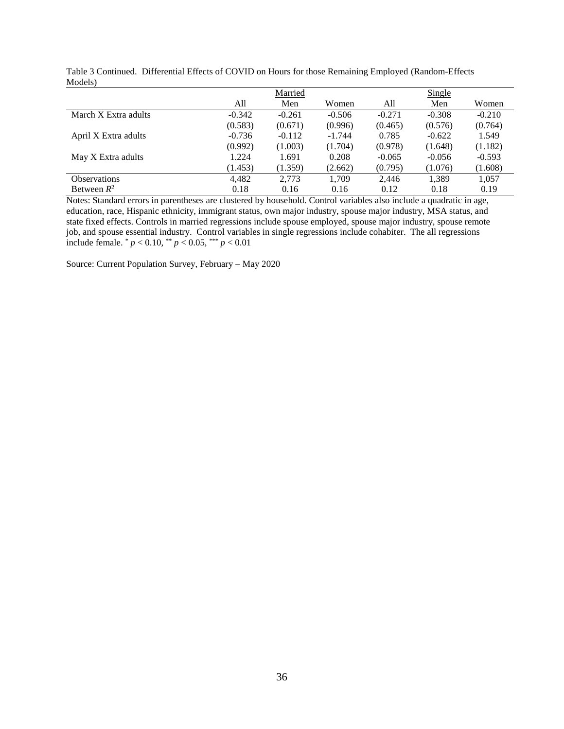| $ $ $ $              |          |          |          |          |          |          |  |  |
|----------------------|----------|----------|----------|----------|----------|----------|--|--|
|                      |          | Married  |          |          | Single   |          |  |  |
|                      | All      | Men      | Women    | All      | Men      | Women    |  |  |
| March X Extra adults | $-0.342$ | $-0.261$ | $-0.506$ | $-0.271$ | $-0.308$ | $-0.210$ |  |  |
|                      | (0.583)  | (0.671)  | (0.996)  | (0.465)  | (0.576)  | (0.764)  |  |  |
| April X Extra adults | $-0.736$ | $-0.112$ | $-1.744$ | 0.785    | $-0.622$ | 1.549    |  |  |
|                      | (0.992)  | (1.003)  | (1.704)  | (0.978)  | (1.648)  | (1.182)  |  |  |
| May X Extra adults   | 1.224    | 1.691    | 0.208    | $-0.065$ | $-0.056$ | $-0.593$ |  |  |
|                      | (1.453)  | (1.359)  | (2.662)  | (0.795)  | (1.076)  | (1.608)  |  |  |
| <b>Observations</b>  | 4,482    | 2,773    | 1,709    | 2,446    | 1,389    | 1.057    |  |  |
| Between $R^2$        | 0.18     | 0.16     | 0.16     | 0.12     | 0.18     | 0.19     |  |  |

Table 3 Continued. Differential Effects of COVID on Hours for those Remaining Employed (Random-Effects Models)

Notes: Standard errors in parentheses are clustered by household. Control variables also include a quadratic in age, education, race, Hispanic ethnicity, immigrant status, own major industry, spouse major industry, MSA status, and state fixed effects. Controls in married regressions include spouse employed, spouse major industry, spouse remote job, and spouse essential industry. Control variables in single regressions include cohabiter. The all regressions include female.  $p < 0.10$ ,  $p < 0.05$ ,  $p < 0.01$ 

Source: Current Population Survey, February – May 2020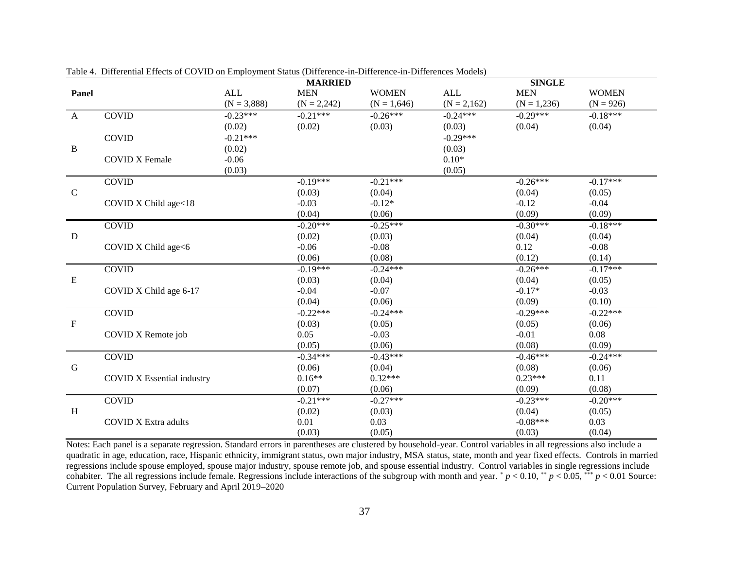|                           |                                   |               | <b>MARRIED</b> |               |               | <b>SINGLE</b> |              |
|---------------------------|-----------------------------------|---------------|----------------|---------------|---------------|---------------|--------------|
| Panel                     |                                   | <b>ALL</b>    | <b>MEN</b>     | <b>WOMEN</b>  | <b>ALL</b>    | <b>MEN</b>    | <b>WOMEN</b> |
|                           |                                   | $(N = 3,888)$ | $(N = 2,242)$  | $(N = 1,646)$ | $(N = 2,162)$ | $(N = 1,236)$ | $(N = 926)$  |
| $\mathbf{A}$              | <b>COVID</b>                      | $-0.23***$    | $-0.21***$     | $-0.26***$    | $-0.24***$    | $-0.29***$    | $-0.18***$   |
|                           |                                   | (0.02)        | (0.02)         | (0.03)        | (0.03)        | (0.04)        | (0.04)       |
|                           | <b>COVID</b>                      | $-0.21***$    |                |               | $-0.29***$    |               |              |
| $\bf{B}$                  |                                   | (0.02)        |                |               | (0.03)        |               |              |
|                           | <b>COVID X Female</b>             | $-0.06$       |                |               | $0.10*$       |               |              |
|                           |                                   | (0.03)        |                |               | (0.05)        |               |              |
|                           | <b>COVID</b>                      |               | $-0.19***$     | $-0.21***$    |               | $-0.26***$    | $-0.17***$   |
| $\mathsf{C}$              |                                   |               | (0.03)         | (0.04)        |               | (0.04)        | (0.05)       |
|                           | COVID X Child age<18              |               | $-0.03$        | $-0.12*$      |               | $-0.12$       | $-0.04$      |
|                           |                                   |               | (0.04)         | (0.06)        |               | (0.09)        | (0.09)       |
|                           | <b>COVID</b>                      |               | $-0.20***$     | $-0.25***$    |               | $-0.30***$    | $-0.18***$   |
| ${\bf D}$                 |                                   |               | (0.02)         | (0.03)        |               | (0.04)        | (0.04)       |
|                           | COVID X Child age<6               |               | $-0.06$        | $-0.08$       |               | 0.12          | $-0.08$      |
|                           |                                   |               | (0.06)         | (0.08)        |               | (0.12)        | (0.14)       |
|                           | <b>COVID</b>                      |               | $-0.19***$     | $-0.24***$    |               | $-0.26***$    | $-0.17***$   |
| ${\bf E}$                 |                                   |               | (0.03)         | (0.04)        |               | (0.04)        | (0.05)       |
|                           | COVID X Child age 6-17            |               | $-0.04$        | $-0.07$       |               | $-0.17*$      | $-0.03$      |
|                           |                                   |               | (0.04)         | (0.06)        |               | (0.09)        | (0.10)       |
|                           | <b>COVID</b>                      |               | $-0.22***$     | $-0.24***$    |               | $-0.29***$    | $-0.22***$   |
| $\boldsymbol{\mathrm{F}}$ |                                   |               | (0.03)         | (0.05)        |               | (0.05)        | (0.06)       |
|                           | COVID X Remote job                |               | 0.05           | $-0.03$       |               | $-0.01$       | 0.08         |
|                           |                                   |               | (0.05)         | (0.06)        |               | (0.08)        | (0.09)       |
|                           | <b>COVID</b>                      |               | $-0.34***$     | $-0.43***$    |               | $-0.46***$    | $-0.24***$   |
| G                         |                                   |               | (0.06)         | (0.04)        |               | (0.08)        | (0.06)       |
|                           | <b>COVID X Essential industry</b> |               | $0.16**$       | $0.32***$     |               | $0.23***$     | 0.11         |
|                           |                                   |               | (0.07)         | (0.06)        |               | (0.09)        | (0.08)       |
|                           | <b>COVID</b>                      |               | $-0.21***$     | $-0.27***$    |               | $-0.23***$    | $-0.20***$   |
| H                         |                                   |               | (0.02)         | (0.03)        |               | (0.04)        | (0.05)       |
|                           | <b>COVID X Extra adults</b>       |               | 0.01           | 0.03          |               | $-0.08***$    | 0.03         |
|                           |                                   |               | (0.03)         | (0.05)        |               | (0.03)        | (0.04)       |

Table 4. Differential Effects of COVID on Employment Status (Difference-in-Difference-in-Differences Models)

Notes: Each panel is a separate regression. Standard errors in parentheses are clustered by household-year. Control variables in all regressions also include a quadratic in age, education, race, Hispanic ethnicity, immigrant status, own major industry, MSA status, state, month and year fixed effects. Controls in married regressions include spouse employed, spouse major industry, spouse remote job, and spouse essential industry. Control variables in single regressions include cohabiter. The all regressions include female. Regressions include interactions of the subgroup with month and year.  $p < 0.10$ ,  $\binom{4}{p} < 0.05$ ,  $\binom{4}{p} < 0.01$  Source: Current Population Survey, February and April 2019–2020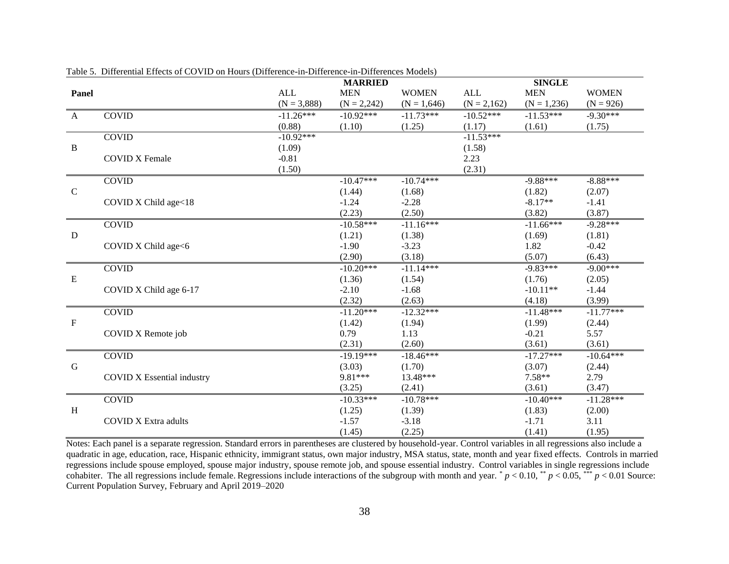|              |                                   |               | <b>MARRIED</b> |               |               | <b>SINGLE</b> |              |
|--------------|-----------------------------------|---------------|----------------|---------------|---------------|---------------|--------------|
| Panel        |                                   | <b>ALL</b>    | <b>MEN</b>     | <b>WOMEN</b>  | <b>ALL</b>    | <b>MEN</b>    | <b>WOMEN</b> |
|              |                                   | $(N = 3,888)$ | $(N = 2,242)$  | $(N = 1,646)$ | $(N = 2,162)$ | $(N = 1,236)$ | $(N = 926)$  |
| $\mathbf{A}$ | <b>COVID</b>                      | $-11.26***$   | $-10.92***$    | $-11.73***$   | $-10.52***$   | $-11.53***$   | $-9.30***$   |
|              |                                   | (0.88)        | (1.10)         | (1.25)        | (1.17)        | (1.61)        | (1.75)       |
|              | <b>COVID</b>                      | $-10.92***$   |                |               | $-11.53***$   |               |              |
| $\, {\bf B}$ |                                   | (1.09)        |                |               | (1.58)        |               |              |
|              | <b>COVID X Female</b>             | $-0.81$       |                |               | 2.23          |               |              |
|              |                                   | (1.50)        |                |               | (2.31)        |               |              |
|              | <b>COVID</b>                      |               | $-10.47***$    | $-10.74***$   |               | $-9.88***$    | $-8.88***$   |
| $\mathsf{C}$ |                                   |               | (1.44)         | (1.68)        |               | (1.82)        | (2.07)       |
|              | COVID X Child age<18              |               | $-1.24$        | $-2.28$       |               | $-8.17**$     | $-1.41$      |
|              |                                   |               | (2.23)         | (2.50)        |               | (3.82)        | (3.87)       |
|              | <b>COVID</b>                      |               | $-10.58***$    | $-11.16***$   |               | $-11.66***$   | $-9.28***$   |
| D            |                                   |               | (1.21)         | (1.38)        |               | (1.69)        | (1.81)       |
|              | COVID X Child age<6               |               | $-1.90$        | $-3.23$       |               | 1.82          | $-0.42$      |
|              |                                   |               | (2.90)         | (3.18)        |               | (5.07)        | (6.43)       |
|              | <b>COVID</b>                      |               | $-10.20***$    | $-11.14***$   |               | $-9.83***$    | $-9.00***$   |
| $\mathbf E$  |                                   |               | (1.36)         | (1.54)        |               | (1.76)        | (2.05)       |
|              | COVID X Child age 6-17            |               | $-2.10$        | $-1.68$       |               | $-10.11**$    | $-1.44$      |
|              |                                   |               | (2.32)         | (2.63)        |               | (4.18)        | (3.99)       |
|              | <b>COVID</b>                      |               | $-11.20***$    | $-12.32***$   |               | $-11.48***$   | $-11.77***$  |
| $\mathbf{F}$ |                                   |               | (1.42)         | (1.94)        |               | (1.99)        | (2.44)       |
|              | COVID X Remote job                |               | 0.79           | 1.13          |               | $-0.21$       | 5.57         |
|              |                                   |               | (2.31)         | (2.60)        |               | (3.61)        | (3.61)       |
|              | <b>COVID</b>                      |               | $-19.19***$    | $-18.46***$   |               | $-17.27***$   | $-10.64***$  |
| $\mathbf G$  |                                   |               | (3.03)         | (1.70)        |               | (3.07)        | (2.44)       |
|              | <b>COVID X Essential industry</b> |               | 9.81***        | 13.48***      |               | $7.58**$      | 2.79         |
|              |                                   |               | (3.25)         | (2.41)        |               | (3.61)        | (3.47)       |
|              | <b>COVID</b>                      |               | $-10.33***$    | $-10.78***$   |               | $-10.40***$   | $-11.28***$  |
| H            |                                   |               | (1.25)         | (1.39)        |               | (1.83)        | (2.00)       |
|              | <b>COVID X Extra adults</b>       |               | $-1.57$        | $-3.18$       |               | $-1.71$       | 3.11         |
|              |                                   |               | (1.45)         | (2.25)        |               | (1.41)        | (1.95)       |

Table 5. Differential Effects of COVID on Hours (Difference-in-Difference-in-Differences Models)

Notes: Each panel is a separate regression. Standard errors in parentheses are clustered by household-year. Control variables in all regressions also include a quadratic in age, education, race, Hispanic ethnicity, immigrant status, own major industry, MSA status, state, month and year fixed effects. Controls in married regressions include spouse employed, spouse major industry, spouse remote job, and spouse essential industry. Control variables in single regressions include cohabiter. The all regressions include female. Regressions include interactions of the subgroup with month and year.  $p < 0.10$ ,  $\binom{**}{r} < 0.05$ ,  $\binom{***}{r} < 0.01$  Source: Current Population Survey, February and April 2019–2020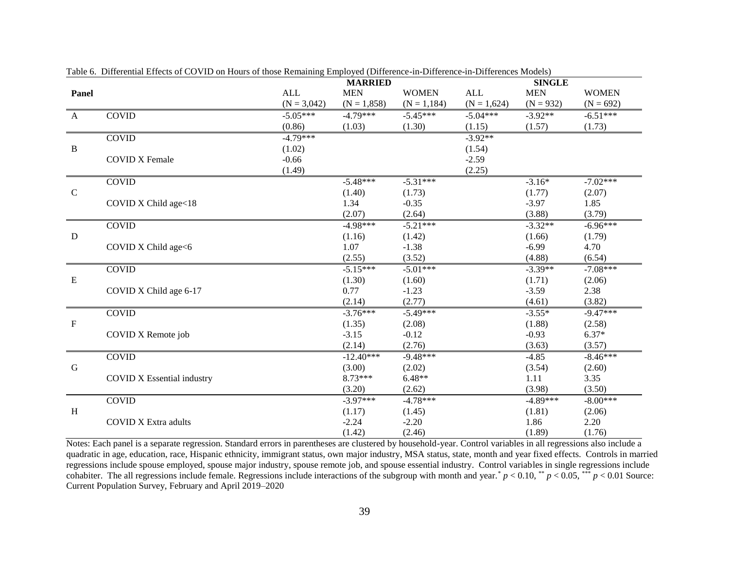|              |                                   |               | <b>MARRIED</b> |                |               | <b>SINGLE</b> |              |
|--------------|-----------------------------------|---------------|----------------|----------------|---------------|---------------|--------------|
| Panel        |                                   | <b>ALL</b>    | <b>MEN</b>     | <b>WOMEN</b>   | <b>ALL</b>    | <b>MEN</b>    | <b>WOMEN</b> |
|              |                                   | $(N = 3,042)$ | $(N = 1,858)$  | $(N = 1, 184)$ | $(N = 1,624)$ | $(N = 932)$   | $(N = 692)$  |
| $\mathbf{A}$ | <b>COVID</b>                      | $-5.05***$    | $-4.79***$     | $-5.45***$     | $-5.04***$    | $-3.92**$     | $-6.51***$   |
|              |                                   | (0.86)        | (1.03)         | (1.30)         | (1.15)        | (1.57)        | (1.73)       |
|              | <b>COVID</b>                      | $-4.79***$    |                |                | $-3.92**$     |               |              |
| $\bf{B}$     |                                   | (1.02)        |                |                | (1.54)        |               |              |
|              | <b>COVID X Female</b>             | $-0.66$       |                |                | $-2.59$       |               |              |
|              |                                   | (1.49)        |                |                | (2.25)        |               |              |
|              | <b>COVID</b>                      |               | $-5.48***$     | $-5.31***$     |               | $-3.16*$      | $-7.02***$   |
| $\mathbf C$  |                                   |               | (1.40)         | (1.73)         |               | (1.77)        | (2.07)       |
|              | COVID X Child age<18              |               | 1.34           | $-0.35$        |               | $-3.97$       | 1.85         |
|              |                                   |               | (2.07)         | (2.64)         |               | (3.88)        | (3.79)       |
|              | <b>COVID</b>                      |               | $-4.98***$     | $-5.21***$     |               | $-3.32**$     | $-6.96***$   |
| D            |                                   |               | (1.16)         | (1.42)         |               | (1.66)        | (1.79)       |
|              | COVID X Child age<6               |               | 1.07           | $-1.38$        |               | $-6.99$       | 4.70         |
|              |                                   |               | (2.55)         | (3.52)         |               | (4.88)        | (6.54)       |
|              | <b>COVID</b>                      |               | $-5.15***$     | $-5.01***$     |               | $-3.39**$     | $-7.08***$   |
| $\mathbf E$  |                                   |               | (1.30)         | (1.60)         |               | (1.71)        | (2.06)       |
|              | COVID X Child age 6-17            |               | 0.77           | $-1.23$        |               | $-3.59$       | 2.38         |
|              |                                   |               | (2.14)         | (2.77)         |               | (4.61)        | (3.82)       |
|              | <b>COVID</b>                      |               | $-3.76***$     | $-5.49***$     |               | $-3.55*$      | $-9.47***$   |
| $\mathbf F$  |                                   |               | (1.35)         | (2.08)         |               | (1.88)        | (2.58)       |
|              | COVID X Remote job                |               | $-3.15$        | $-0.12$        |               | $-0.93$       | $6.37*$      |
|              |                                   |               | (2.14)         | (2.76)         |               | (3.63)        | (3.57)       |
|              | <b>COVID</b>                      |               | $-12.40***$    | $-9.48***$     |               | $-4.85$       | $-8.46***$   |
| ${\bf G}$    |                                   |               | (3.00)         | (2.02)         |               | (3.54)        | (2.60)       |
|              | <b>COVID X Essential industry</b> |               | 8.73***        | $6.48**$       |               | 1.11          | 3.35         |
|              |                                   |               | (3.20)         | (2.62)         |               | (3.98)        | (3.50)       |
|              | <b>COVID</b>                      |               | $-3.97***$     | $-4.78***$     |               | $-4.89***$    | $-8.00***$   |
| H            |                                   |               | (1.17)         | (1.45)         |               | (1.81)        | (2.06)       |
|              | <b>COVID X Extra adults</b>       |               | $-2.24$        | $-2.20$        |               | 1.86          | 2.20         |
|              |                                   |               | (1.42)         | (2.46)         |               | (1.89)        | (1.76)       |

Table 6. Differential Effects of COVID on Hours of those Remaining Employed (Difference-in-Difference-in-Differences Models)

Notes: Each panel is a separate regression. Standard errors in parentheses are clustered by household-year. Control variables in all regressions also include a quadratic in age, education, race, Hispanic ethnicity, immigrant status, own major industry, MSA status, state, month and year fixed effects. Controls in married regressions include spouse employed, spouse major industry, spouse remote job, and spouse essential industry. Control variables in single regressions include cohabiter. The all regressions include female. Regressions include interactions of the subgroup with month and year.<sup>\*</sup>  $p < 0.10$ ,<sup>\*\*</sup>  $p < 0.05$ ,<sup>\*\*\*</sup>  $p < 0.01$  Source: Current Population Survey, February and April 2019–2020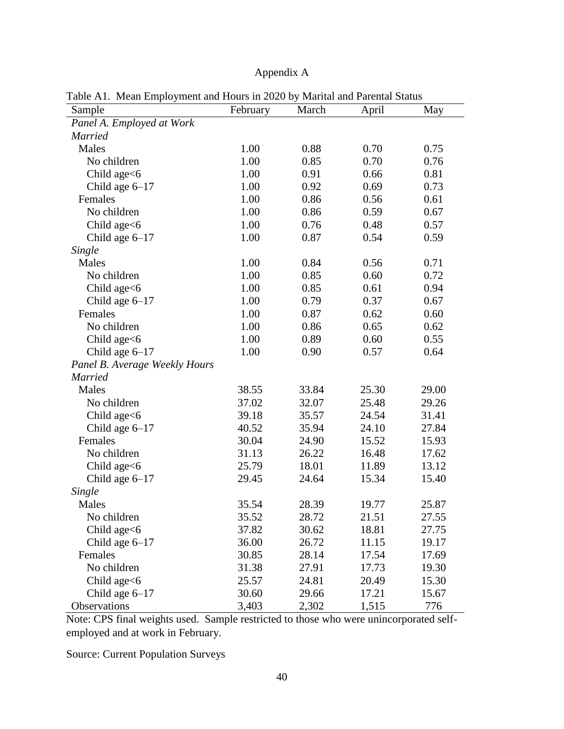## Appendix A

| raoie Tri Thean Employment and Hould in 2020 by Thainia and Farental Blanco<br>Sample | February | March | April | May   |
|---------------------------------------------------------------------------------------|----------|-------|-------|-------|
| Panel A. Employed at Work                                                             |          |       |       |       |
| <b>Married</b>                                                                        |          |       |       |       |
| Males                                                                                 | 1.00     | 0.88  | 0.70  | 0.75  |
| No children                                                                           | 1.00     | 0.85  | 0.70  | 0.76  |
| Child age $<6$                                                                        | 1.00     | 0.91  | 0.66  | 0.81  |
| Child age $6-17$                                                                      | 1.00     | 0.92  | 0.69  | 0.73  |
| Females                                                                               | 1.00     | 0.86  | 0.56  | 0.61  |
| No children                                                                           | 1.00     | 0.86  | 0.59  | 0.67  |
| Child age $<6$                                                                        | 1.00     | 0.76  | 0.48  | 0.57  |
| Child age $6-17$                                                                      | 1.00     | 0.87  | 0.54  | 0.59  |
| Single                                                                                |          |       |       |       |
| Males                                                                                 | 1.00     | 0.84  | 0.56  | 0.71  |
| No children                                                                           | 1.00     | 0.85  | 0.60  | 0.72  |
| Child age<6                                                                           | 1.00     | 0.85  | 0.61  | 0.94  |
| Child age $6-17$                                                                      | 1.00     | 0.79  | 0.37  | 0.67  |
| Females                                                                               | 1.00     | 0.87  | 0.62  | 0.60  |
| No children                                                                           | 1.00     | 0.86  | 0.65  | 0.62  |
| Child age $<6$                                                                        | 1.00     | 0.89  | 0.60  | 0.55  |
| Child age $6-17$                                                                      | 1.00     | 0.90  | 0.57  | 0.64  |
| Panel B. Average Weekly Hours                                                         |          |       |       |       |
| <b>Married</b>                                                                        |          |       |       |       |
| Males                                                                                 | 38.55    | 33.84 | 25.30 | 29.00 |
| No children                                                                           | 37.02    | 32.07 | 25.48 | 29.26 |
| Child age<6                                                                           | 39.18    | 35.57 | 24.54 | 31.41 |
| Child age $6-17$                                                                      | 40.52    | 35.94 | 24.10 | 27.84 |
| Females                                                                               | 30.04    | 24.90 | 15.52 | 15.93 |
| No children                                                                           | 31.13    | 26.22 | 16.48 | 17.62 |
| Child age $<6$                                                                        | 25.79    | 18.01 | 11.89 | 13.12 |
| Child age $6-17$                                                                      | 29.45    | 24.64 | 15.34 | 15.40 |
| Single                                                                                |          |       |       |       |
| Males                                                                                 | 35.54    | 28.39 | 19.77 | 25.87 |
| No children                                                                           | 35.52    | 28.72 | 21.51 | 27.55 |
| Child age<6                                                                           | 37.82    | 30.62 | 18.81 | 27.75 |
| Child age $6-17$                                                                      | 36.00    | 26.72 | 11.15 | 19.17 |
| Females                                                                               | 30.85    | 28.14 | 17.54 | 17.69 |
| No children                                                                           | 31.38    | 27.91 | 17.73 | 19.30 |
| Child age<6                                                                           | 25.57    | 24.81 | 20.49 | 15.30 |
| Child age $6-17$                                                                      | 30.60    | 29.66 | 17.21 | 15.67 |
| Observations                                                                          | 3,403    | 2,302 | 1,515 | 776   |

Table A1. Mean Employment and Hours in 2020 by Marital and Parental Status

Note: CPS final weights used. Sample restricted to those who were unincorporated selfemployed and at work in February.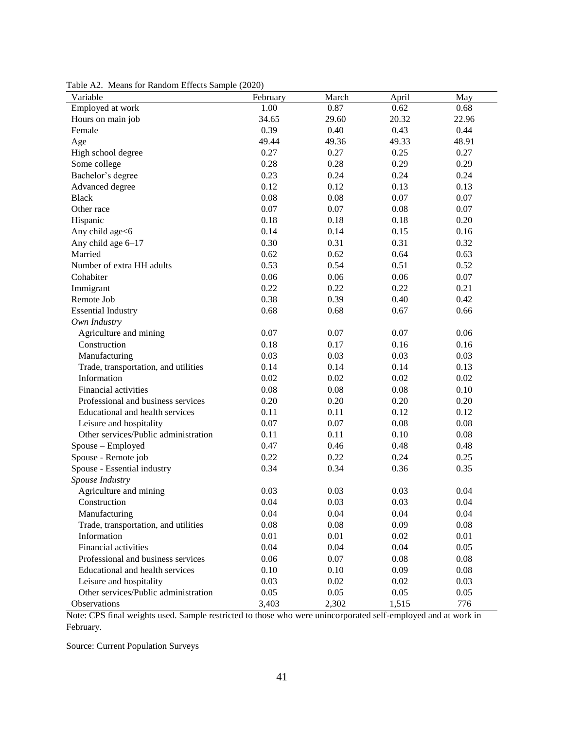| Variable                             | February | March | April | May   |
|--------------------------------------|----------|-------|-------|-------|
| Employed at work                     | 1.00     | 0.87  | 0.62  | 0.68  |
| Hours on main job                    | 34.65    | 29.60 | 20.32 | 22.96 |
| Female                               | 0.39     | 0.40  | 0.43  | 0.44  |
| Age                                  | 49.44    | 49.36 | 49.33 | 48.91 |
| High school degree                   | 0.27     | 0.27  | 0.25  | 0.27  |
| Some college                         | 0.28     | 0.28  | 0.29  | 0.29  |
| Bachelor's degree                    | 0.23     | 0.24  | 0.24  | 0.24  |
| Advanced degree                      | 0.12     | 0.12  | 0.13  | 0.13  |
| <b>Black</b>                         | 0.08     | 0.08  | 0.07  | 0.07  |
| Other race                           | 0.07     | 0.07  | 0.08  | 0.07  |
| Hispanic                             | 0.18     | 0.18  | 0.18  | 0.20  |
| Any child age<6                      | 0.14     | 0.14  | 0.15  | 0.16  |
| Any child age 6-17                   | 0.30     | 0.31  | 0.31  | 0.32  |
| Married                              | 0.62     | 0.62  | 0.64  | 0.63  |
| Number of extra HH adults            | 0.53     | 0.54  | 0.51  | 0.52  |
| Cohabiter                            | 0.06     | 0.06  | 0.06  | 0.07  |
| Immigrant                            | 0.22     | 0.22  | 0.22  | 0.21  |
| Remote Job                           | 0.38     | 0.39  | 0.40  | 0.42  |
| <b>Essential Industry</b>            | 0.68     | 0.68  | 0.67  | 0.66  |
| Own Industry                         |          |       |       |       |
| Agriculture and mining               | 0.07     | 0.07  | 0.07  | 0.06  |
| Construction                         | 0.18     | 0.17  | 0.16  | 0.16  |
| Manufacturing                        | 0.03     | 0.03  | 0.03  | 0.03  |
| Trade, transportation, and utilities | 0.14     | 0.14  | 0.14  | 0.13  |
| Information                          | 0.02     | 0.02  | 0.02  | 0.02  |
| <b>Financial activities</b>          | 0.08     | 0.08  | 0.08  | 0.10  |
| Professional and business services   | 0.20     | 0.20  | 0.20  | 0.20  |
| Educational and health services      | 0.11     | 0.11  | 0.12  | 0.12  |
| Leisure and hospitality              | 0.07     | 0.07  | 0.08  | 0.08  |
| Other services/Public administration | 0.11     | 0.11  | 0.10  | 0.08  |
| Spouse - Employed                    | 0.47     | 0.46  | 0.48  | 0.48  |
| Spouse - Remote job                  | 0.22     | 0.22  | 0.24  | 0.25  |
| Spouse - Essential industry          | 0.34     | 0.34  | 0.36  | 0.35  |
| Spouse Industry                      |          |       |       |       |
| Agriculture and mining               | 0.03     | 0.03  | 0.03  | 0.04  |
| Construction                         | 0.04     | 0.03  | 0.03  | 0.04  |
| Manufacturing                        | 0.04     | 0.04  | 0.04  | 0.04  |
| Trade, transportation, and utilities | 0.08     | 0.08  | 0.09  | 0.08  |
| Information                          | 0.01     | 0.01  | 0.02  | 0.01  |
| Financial activities                 | 0.04     | 0.04  | 0.04  | 0.05  |
| Professional and business services   | 0.06     | 0.07  | 0.08  | 0.08  |
| Educational and health services      | 0.10     | 0.10  | 0.09  | 0.08  |
| Leisure and hospitality              | 0.03     | 0.02  | 0.02  | 0.03  |
| Other services/Public administration | 0.05     | 0.05  | 0.05  | 0.05  |
| Observations                         | 3,403    | 2,302 | 1,515 | 776   |

Table A2. Means for Random Effects Sample (2020)

Note: CPS final weights used. Sample restricted to those who were unincorporated self-employed and at work in February.